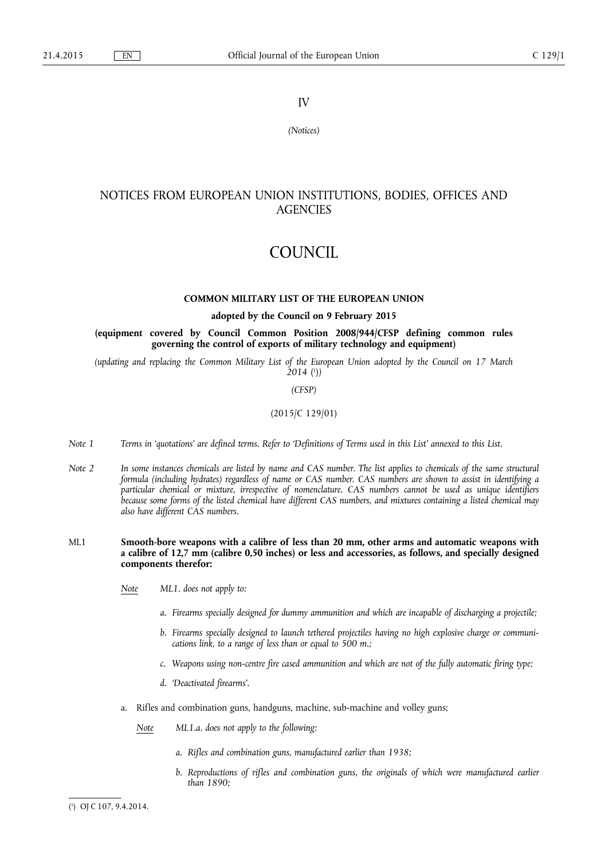# IV

*(Notices)* 

# NOTICES FROM EUROPEAN UNION INSTITUTIONS, BODIES, OFFICES AND **AGENCIES**

# COUNCIL

# **COMMON MILITARY LIST OF THE EUROPEAN UNION**

# **adopted by the Council on 9 February 2015**

**(equipment covered by Council Common Position 2008/944/CFSP defining common rules governing the control of exports of military technology and equipment)** 

*(updating and replacing the Common Military List of the European Union adopted by the Council on 17 March 2014* ( 1 )*)* 

#### *(CFSP)*

# (2015/C 129/01)

- *Note 1 Terms in 'quotations' are defined terms. Refer to 'Definitions of Terms used in this List' annexed to this List.*
- *Note 2 In some instances chemicals are listed by name and CAS number. The list applies to chemicals of the same structural formula (including hydrates) regardless of name or CAS number. CAS numbers are shown to assist in identifying a particular chemical or mixture, irrespective of nomenclature. CAS numbers cannot be used as unique identifiers because some forms of the listed chemical have different CAS numbers, and mixtures containing a listed chemical may also have different CAS numbers.*
- ML1 **Smooth-bore weapons with a calibre of less than 20 mm, other arms and automatic weapons with a calibre of 12,7 mm (calibre 0,50 inches) or less and accessories, as follows, and specially designed components therefor:** 
	- *Note ML1. does not apply to:* 
		- *a. Firearms specially designed for dummy ammunition and which are incapable of discharging a projectile;*
		- *b. Firearms specially designed to launch tethered projectiles having no high explosive charge or communications link, to a range of less than or equal to 500 m.;*
		- *c. Weapons using non-centre fire cased ammunition and which are not of the fully automatic firing type;*
		- *d. 'Deactivated firearms'.*
	- a. Rifles and combination guns, handguns, machine, sub-machine and volley guns;
		- *Note ML1.a. does not apply to the following:* 
			- *a. Rifles and combination guns, manufactured earlier than 1938;*
			- *b. Reproductions of rifles and combination guns, the originals of which were manufactured earlier than 1890;*

<sup>(</sup> 1 ) OJ C 107, 9.4.2014.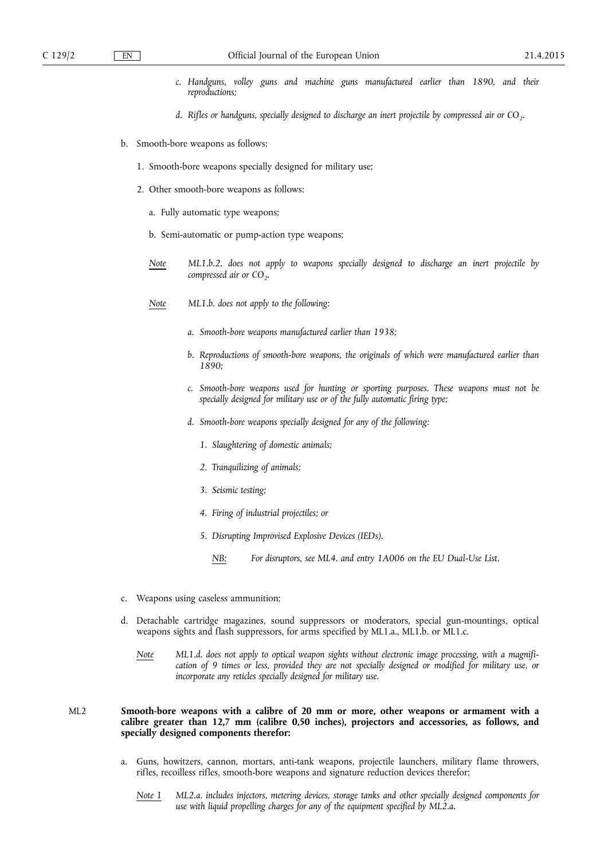- *c. Handguns, volley guns and machine guns manufactured earlier than 1890, and their reproductions;*
- *d.* Rifles or handguns, specially designed to discharge an inert projectile by compressed air or CO<sub>2</sub>.
- b. Smooth-bore weapons as follows:
	- 1. Smooth-bore weapons specially designed for military use;
	- 2. Other smooth-bore weapons as follows:
		- a. Fully automatic type weapons;
		- b. Semi-automatic or pump-action type weapons;
		- *Note ML1.b.2. does not apply to weapons specially designed to discharge an inert projectile by compressed air or CO<sub>2</sub>.*
		- *Note ML1.b. does not apply to the following:* 
			- *a. Smooth-bore weapons manufactured earlier than 1938;*
			- *b. Reproductions of smooth-bore weapons, the originals of which were manufactured earlier than 1890;*
			- *c. Smooth-bore weapons used for hunting or sporting purposes. These weapons must not be specially designed for military use or of the fully automatic firing type;*
			- *d. Smooth-bore weapons specially designed for any of the following:* 
				- *1. Slaughtering of domestic animals;*
				- *2. Tranquilizing of animals;*
				- *3. Seismic testing;*
				- *4. Firing of industrial projectiles; or*
				- *5. Disrupting Improvised Explosive Devices (IEDs).* 
					- *NB: For disruptors, see ML4. and entry 1A006 on the EU Dual-Use List.*
- c. Weapons using caseless ammunition;
- d. Detachable cartridge magazines, sound suppressors or moderators, special gun-mountings, optical weapons sights and flash suppressors, for arms specified by ML1.a., ML1.b. or ML1.c.
	- *Note ML1.d. does not apply to optical weapon sights without electronic image processing, with a magnification of 9 times or less, provided they are not specially designed or modified for military use, or incorporate any reticles specially designed for military use.*

# ML2 **Smooth-bore weapons with a calibre of 20 mm or more, other weapons or armament with a calibre greater than 12,7 mm (calibre 0,50 inches), projectors and accessories, as follows, and specially designed components therefor:**

- a. Guns, howitzers, cannon, mortars, anti-tank weapons, projectile launchers, military flame throwers, rifles, recoilless rifles, smooth-bore weapons and signature reduction devices therefor;
	- *Note 1 ML2.a. includes injectors, metering devices, storage tanks and other specially designed components for use with liquid propelling charges for any of the equipment specified by ML2.a.*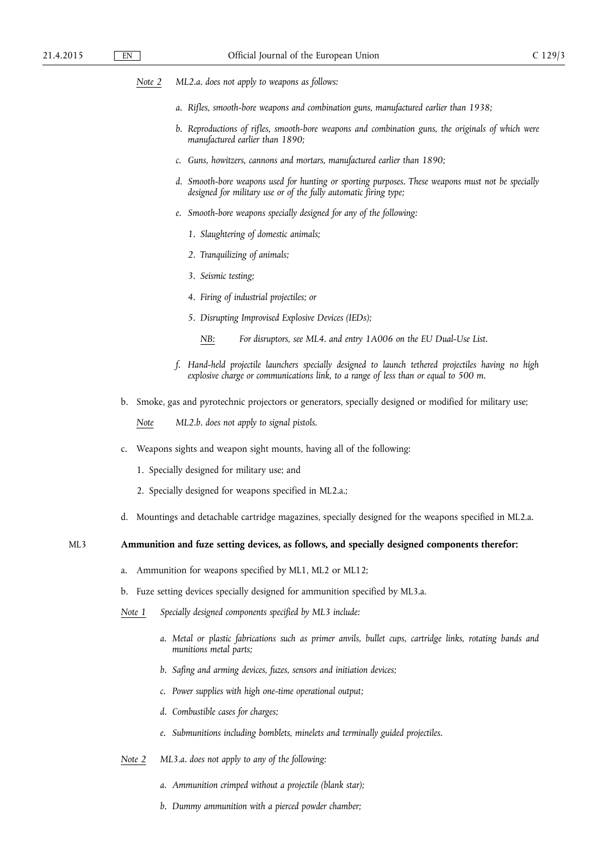- *Note 2 ML2.a. does not apply to weapons as follows:* 
	- *a. Rifles, smooth-bore weapons and combination guns, manufactured earlier than 1938;*
	- *b. Reproductions of rifles, smooth-bore weapons and combination guns, the originals of which were manufactured earlier than 1890;*
	- *c. Guns, howitzers, cannons and mortars, manufactured earlier than 1890;*
	- *d. Smooth-bore weapons used for hunting or sporting purposes. These weapons must not be specially designed for military use or of the fully automatic firing type;*
	- *e. Smooth-bore weapons specially designed for any of the following:* 
		- *1. Slaughtering of domestic animals;*
		- *2. Tranquilizing of animals;*
		- *3. Seismic testing;*
		- *4. Firing of industrial projectiles; or*
		- *5. Disrupting Improvised Explosive Devices (IEDs);* 
			- *NB: For disruptors, see ML4. and entry 1A006 on the EU Dual-Use List.*
	- *f. Hand-held projectile launchers specially designed to launch tethered projectiles having no high explosive charge or communications link, to a range of less than or equal to 500 m.*
- b. Smoke, gas and pyrotechnic projectors or generators, specially designed or modified for military use;

*Note ML2.b. does not apply to signal pistols.* 

- c. Weapons sights and weapon sight mounts, having all of the following:
	- 1. Specially designed for military use; and
	- 2. Specially designed for weapons specified in ML2.a.;
- d. Mountings and detachable cartridge magazines, specially designed for the weapons specified in ML2.a.

# ML3 **Ammunition and fuze setting devices, as follows, and specially designed components therefor:**

- a. Ammunition for weapons specified by ML1, ML2 or ML12;
- b. Fuze setting devices specially designed for ammunition specified by ML3.a.
- *Note 1 Specially designed components specified by ML3 include:* 
	- *a. Metal or plastic fabrications such as primer anvils, bullet cups, cartridge links, rotating bands and munitions metal parts;*
	- *b. Safing and arming devices, fuzes, sensors and initiation devices;*
	- *c. Power supplies with high one-time operational output;*
	- *d. Combustible cases for charges;*
	- *e. Submunitions including bomblets, minelets and terminally guided projectiles.*
- *Note 2 ML3.a. does not apply to any of the following:* 
	- *a. Ammunition crimped without a projectile (blank star);*
	- *b. Dummy ammunition with a pierced powder chamber;*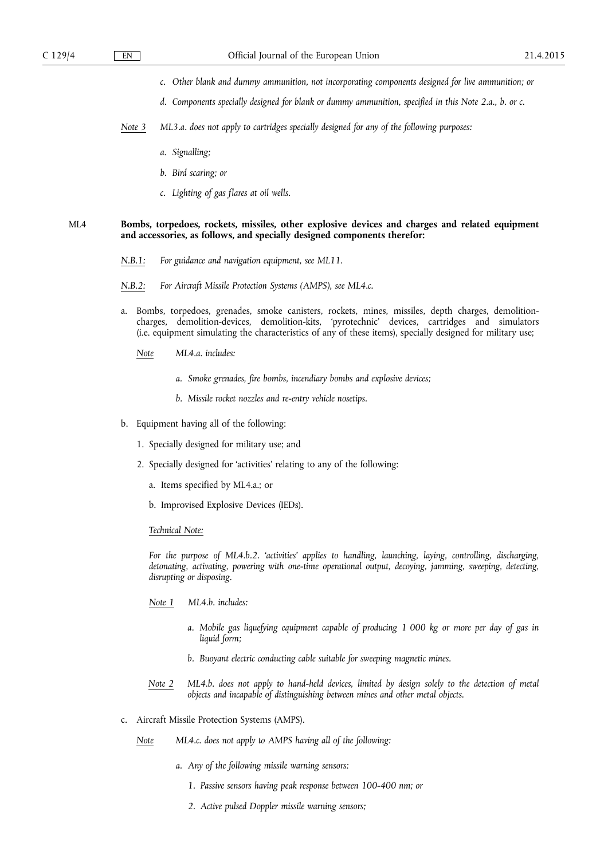- *c. Other blank and dummy ammunition, not incorporating components designed for live ammunition; or*
- *d. Components specially designed for blank or dummy ammunition, specified in this Note 2.a., b. or c.*
- *Note 3 ML3.a. does not apply to cartridges specially designed for any of the following purposes:* 
	- *a. Signalling;*
	- *b. Bird scaring; or*
	- *c. Lighting of gas flares at oil wells.*

# ML4 **Bombs, torpedoes, rockets, missiles, other explosive devices and charges and related equipment and accessories, as follows, and specially designed components therefor:**

- *N.B.1: For guidance and navigation equipment, see ML11.*
- *N.B.2: For Aircraft Missile Protection Systems (AMPS), see ML4.c.*
- a. Bombs, torpedoes, grenades, smoke canisters, rockets, mines, missiles, depth charges, demolitioncharges, demolition-devices, demolition-kits, 'pyrotechnic' devices, cartridges and simulators (i.e. equipment simulating the characteristics of any of these items), specially designed for military use;
	- *Note ML4.a. includes:* 
		- *a. Smoke grenades, fire bombs, incendiary bombs and explosive devices;*
		- *b. Missile rocket nozzles and re-entry vehicle nosetips.*
- b. Equipment having all of the following:
	- 1. Specially designed for military use; and
	- 2. Specially designed for 'activities' relating to any of the following:
		- a. Items specified by ML4.a.; or
		- b. Improvised Explosive Devices (IEDs).

# *Technical Note:*

*For the purpose of ML4.b.2. 'activities' applies to handling, launching, laying, controlling, discharging, detonating, activating, powering with one-time operational output, decoying, jamming, sweeping, detecting, disrupting or disposing.* 

- *Note 1 ML4.b. includes:* 
	- *a. Mobile gas liquefying equipment capable of producing 1 000 kg or more per day of gas in liquid form;*
	- *b. Buoyant electric conducting cable suitable for sweeping magnetic mines.*
- *Note 2 ML4.b. does not apply to hand-held devices, limited by design solely to the detection of metal objects and incapable of distinguishing between mines and other metal objects.*
- c. Aircraft Missile Protection Systems (AMPS).
	- *Note ML4.c. does not apply to AMPS having all of the following:* 
		- *a. Any of the following missile warning sensors:* 
			- *1. Passive sensors having peak response between 100-400 nm; or*
			- *2. Active pulsed Doppler missile warning sensors;*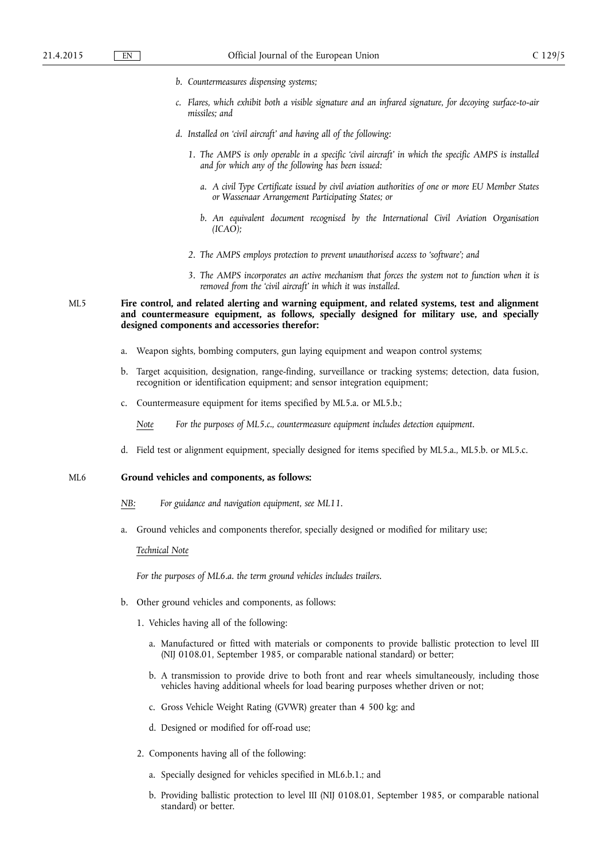- *b. Countermeasures dispensing systems;*
- *c. Flares, which exhibit both a visible signature and an infrared signature, for decoying surface-to-air missiles; and*
- *d. Installed on 'civil aircraft' and having all of the following:* 
	- *1. The AMPS is only operable in a specific 'civil aircraft' in which the specific AMPS is installed and for which any of the following has been issued:* 
		- *a. A civil Type Certificate issued by civil aviation authorities of one or more EU Member States or Wassenaar Arrangement Participating States; or*
		- *b. An equivalent document recognised by the International Civil Aviation Organisation (ICAO);*
	- *2. The AMPS employs protection to prevent unauthorised access to 'software'; and*
	- *3. The AMPS incorporates an active mechanism that forces the system not to function when it is removed from the 'civil aircraft' in which it was installed.*

# ML5 **Fire control, and related alerting and warning equipment, and related systems, test and alignment and countermeasure equipment, as follows, specially designed for military use, and specially designed components and accessories therefor:**

- a. Weapon sights, bombing computers, gun laying equipment and weapon control systems;
- b. Target acquisition, designation, range-finding, surveillance or tracking systems; detection, data fusion, recognition or identification equipment; and sensor integration equipment;
- c. Countermeasure equipment for items specified by ML5.a. or ML5.b.;

*Note For the purposes of ML5.c., countermeasure equipment includes detection equipment.* 

d. Field test or alignment equipment, specially designed for items specified by ML5.a., ML5.b. or ML5.c.

#### ML6 **Ground vehicles and components, as follows:**

- *NB: For guidance and navigation equipment, see ML11.*
- a. Ground vehicles and components therefor, specially designed or modified for military use;

# *Technical Note*

*For the purposes of ML6.a. the term ground vehicles includes trailers.* 

- b. Other ground vehicles and components, as follows:
	- 1. Vehicles having all of the following:
		- a. Manufactured or fitted with materials or components to provide ballistic protection to level III (NIJ 0108.01, September 1985, or comparable national standard) or better;
		- b. A transmission to provide drive to both front and rear wheels simultaneously, including those vehicles having additional wheels for load bearing purposes whether driven or not;
		- c. Gross Vehicle Weight Rating (GVWR) greater than 4 500 kg; and
		- d. Designed or modified for off-road use;
	- 2. Components having all of the following:
		- a. Specially designed for vehicles specified in ML6.b.1.; and
		- b. Providing ballistic protection to level III (NIJ 0108.01, September 1985, or comparable national standard) or better.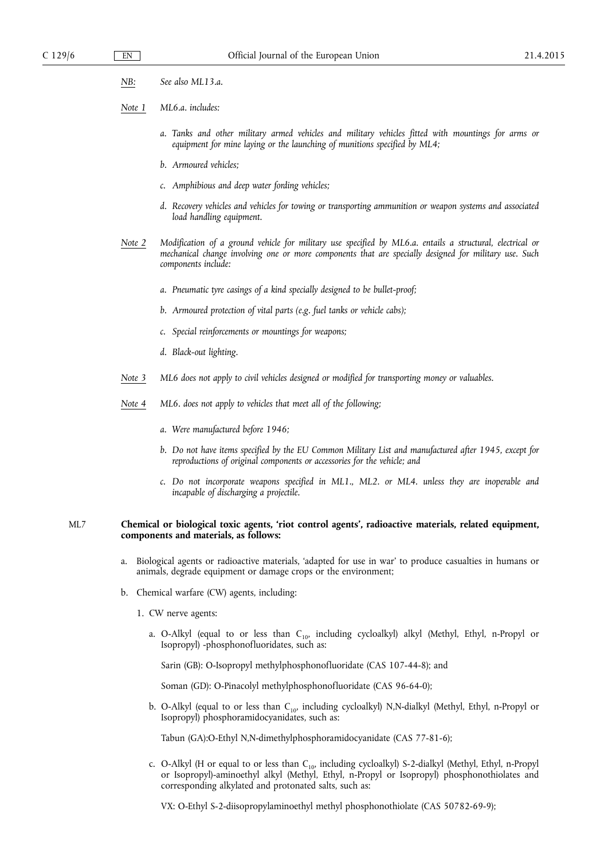- *NB: See also ML13.a.*
- *Note 1 ML6.a. includes:* 
	- *a. Tanks and other military armed vehicles and military vehicles fitted with mountings for arms or*  equipment for mine laying or the launching of munitions specified by ML4;
	- *b. Armoured vehicles;*
	- *c. Amphibious and deep water fording vehicles;*
	- *d. Recovery vehicles and vehicles for towing or transporting ammunition or weapon systems and associated load handling equipment.*
- *Note 2 Modification of a ground vehicle for military use specified by ML6.a. entails a structural, electrical or mechanical change involving one or more components that are specially designed for military use. Such components include:* 
	- *a. Pneumatic tyre casings of a kind specially designed to be bullet-proof;*
	- *b. Armoured protection of vital parts (e.g. fuel tanks or vehicle cabs);*
	- *c. Special reinforcements or mountings for weapons;*
	- *d. Black-out lighting.*
- *Note 3 ML6 does not apply to civil vehicles designed or modified for transporting money or valuables.*
- *Note 4 ML6. does not apply to vehicles that meet all of the following;* 
	- *a. Were manufactured before 1946;*
	- *b. Do not have items specified by the EU Common Military List and manufactured after 1945, except for reproductions of original components or accessories for the vehicle; and*
	- *c. Do not incorporate weapons specified in ML1., ML2. or ML4. unless they are inoperable and incapable of discharging a projectile.*

# ML7 **Chemical or biological toxic agents, 'riot control agents', radioactive materials, related equipment, components and materials, as follows:**

- a. Biological agents or radioactive materials, 'adapted for use in war' to produce casualties in humans or animals, degrade equipment or damage crops or the environment;
- b. Chemical warfare (CW) agents, including:
	- 1. CW nerve agents:
		- a. O-Alkyl (equal to or less than  $C_{10}$ , including cycloalkyl) alkyl (Methyl, Ethyl, n-Propyl or Isopropyl) -phosphonofluoridates, such as:

Sarin (GB): O-Isopropyl methylphosphonofluoridate (CAS 107-44-8); and

Soman (GD): O-Pinacolyl methylphosphonofluoridate (CAS 96-64-0);

b. O-Alkyl (equal to or less than  $C_{10}$ , including cycloalkyl) N,N-dialkyl (Methyl, Ethyl, n-Propyl or Isopropyl) phosphoramidocyanidates, such as:

Tabun (GA):O-Ethyl N,N-dimethylphosphoramidocyanidate (CAS 77-81-6);

c. O-Alkyl (H or equal to or less than C<sub>10</sub>, including cycloalkyl) S-2-dialkyl (Methyl, Ethyl, n-Propyl or Isopropyl)-aminoethyl alkyl (Methyl, Ethyl, n-Propyl or Isopropyl) phosphonothiolates and corresponding alkylated and protonated salts, such as:

VX: O-Ethyl S-2-diisopropylaminoethyl methyl phosphonothiolate (CAS 50782-69-9);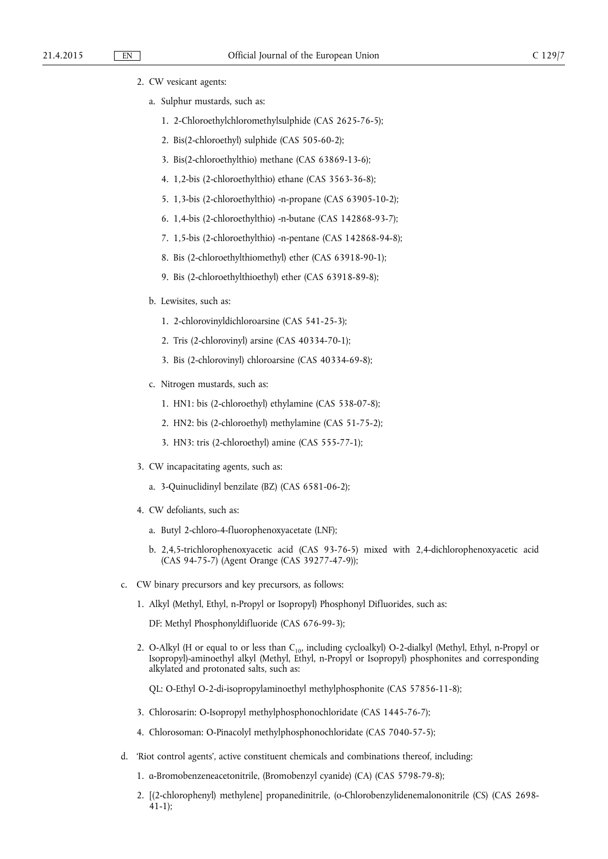2. CW vesicant agents:

- a. Sulphur mustards, such as:
	- 1. 2-Chloroethylchloromethylsulphide (CAS 2625-76-5);
	- 2. Bis(2-chloroethyl) sulphide (CAS 505-60-2);
	- 3. Bis(2-chloroethylthio) methane (CAS 63869-13-6);
	- 4. 1,2-bis (2-chloroethylthio) ethane (CAS 3563-36-8);
	- 5. 1,3-bis (2-chloroethylthio) -n-propane (CAS 63905-10-2);
	- 6. 1,4-bis (2-chloroethylthio) -n-butane (CAS 142868-93-7);
	- 7. 1,5-bis (2-chloroethylthio) -n-pentane (CAS 142868-94-8);
	- 8. Bis (2-chloroethylthiomethyl) ether (CAS 63918-90-1);
	- 9. Bis (2-chloroethylthioethyl) ether (CAS 63918-89-8);

## b. Lewisites, such as:

- 1. 2-chlorovinyldichloroarsine (CAS 541-25-3);
- 2. Tris (2-chlorovinyl) arsine (CAS 40334-70-1);
- 3. Bis (2-chlorovinyl) chloroarsine (CAS 40334-69-8);
- c. Nitrogen mustards, such as:
	- 1. HN1: bis (2-chloroethyl) ethylamine (CAS 538-07-8);
	- 2. HN2: bis (2-chloroethyl) methylamine (CAS 51-75-2);
	- 3. HN3: tris (2-chloroethyl) amine (CAS 555-77-1);
- 3. CW incapacitating agents, such as:
	- a. 3-Quinuclidinyl benzilate (BZ) (CAS 6581-06-2);
- 4. CW defoliants, such as:
	- a. Butyl 2-chloro-4-fluorophenoxyacetate (LNF);
	- b. 2,4,5-trichlorophenoxyacetic acid (CAS 93-76-5) mixed with 2,4-dichlorophenoxyacetic acid (CAS 94-75-7) (Agent Orange (CAS 39277-47-9));
- c. CW binary precursors and key precursors, as follows:
	- 1. Alkyl (Methyl, Ethyl, n-Propyl or Isopropyl) Phosphonyl Difluorides, such as:
		- DF: Methyl Phosphonyldifluoride (CAS 676-99-3);
	- 2. O-Alkyl (H or equal to or less than  $C_{10}$ , including cycloalkyl) O-2-dialkyl (Methyl, Ethyl, n-Propyl or Isopropyl)-aminoethyl alkyl (Methyl, Ethyl, n-Propyl or Isopropyl) phosphonites and corresponding alkylated and protonated salts, such as:

QL: O-Ethyl O-2-di-isopropylaminoethyl methylphosphonite (CAS 57856-11-8);

- 3. Chlorosarin: O-Isopropyl methylphosphonochloridate (CAS 1445-76-7);
- 4. Chlorosoman: O-Pinacolyl methylphosphonochloridate (CAS 7040-57-5);
- d. 'Riot control agents', active constituent chemicals and combinations thereof, including:
	- 1. α-Bromobenzeneacetonitrile, (Bromobenzyl cyanide) (CA) (CAS 5798-79-8);
	- 2. [(2-chlorophenyl) methylene] propanedinitrile, (o-Chlorobenzylidenemalononitrile (CS) (CAS 2698- 41-1);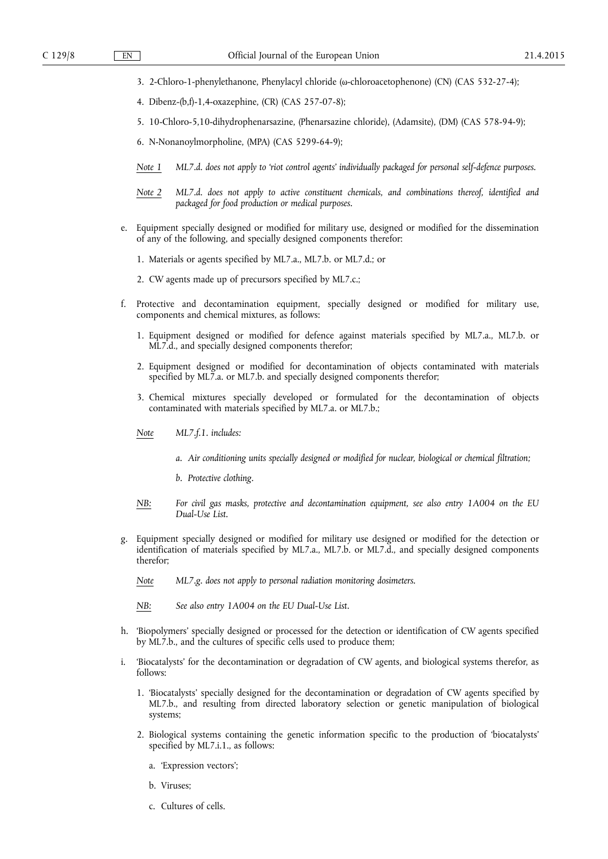- 3. 2-Chloro-1-phenylethanone, Phenylacyl chloride (ω-chloroacetophenone) (CN) (CAS 532-27-4);
- 4. Dibenz-(b,f)-1,4-oxazephine, (CR) (CAS 257-07-8);
- 5. 10-Chloro-5,10-dihydrophenarsazine, (Phenarsazine chloride), (Adamsite), (DM) (CAS 578-94-9);
- 6. N-Nonanoylmorpholine, (MPA) (CAS 5299-64-9);
- *Note 1 ML7.d. does not apply to 'riot control agents' individually packaged for personal self-defence purposes.*
- *Note 2 ML7.d. does not apply to active constituent chemicals, and combinations thereof, identified and packaged for food production or medical purposes.*
- Equipment specially designed or modified for military use, designed or modified for the dissemination of any of the following, and specially designed components therefor:
	- 1. Materials or agents specified by ML7.a., ML7.b. or ML7.d.; or
	- 2. CW agents made up of precursors specified by ML7.c.;
- f. Protective and decontamination equipment, specially designed or modified for military use, components and chemical mixtures, as follows:
	- 1. Equipment designed or modified for defence against materials specified by ML7.a., ML7.b. or ML7.d., and specially designed components therefor;
	- 2. Equipment designed or modified for decontamination of objects contaminated with materials specified by ML7.a. or ML7.b. and specially designed components therefor;
	- 3. Chemical mixtures specially developed or formulated for the decontamination of objects contaminated with materials specified by ML7.a. or ML7.b.;
	- *Note ML7.f.1. includes:* 
		- *a. Air conditioning units specially designed or modified for nuclear, biological or chemical filtration;*
		- *b. Protective clothing.*
	- *NB: For civil gas masks, protective and decontamination equipment, see also entry 1A004 on the EU Dual-Use List.*
- Equipment specially designed or modified for military use designed or modified for the detection or identification of materials specified by ML7.a., ML7.b. or ML7.d., and specially designed components therefor;
	- *Note ML7.g. does not apply to personal radiation monitoring dosimeters.*
	- *NB: See also entry 1A004 on the EU Dual-Use List.*
- h. 'Biopolymers' specially designed or processed for the detection or identification of CW agents specified by ML7.b., and the cultures of specific cells used to produce them;
- i. 'Biocatalysts' for the decontamination or degradation of CW agents, and biological systems therefor, as follows:
	- 1. 'Biocatalysts' specially designed for the decontamination or degradation of CW agents specified by ML7.b., and resulting from directed laboratory selection or genetic manipulation of biological systems;
	- 2. Biological systems containing the genetic information specific to the production of 'biocatalysts' specified by ML7.i.1., as follows:
		- a. 'Expression vectors';
		- b. Viruses;
		- c. Cultures of cells.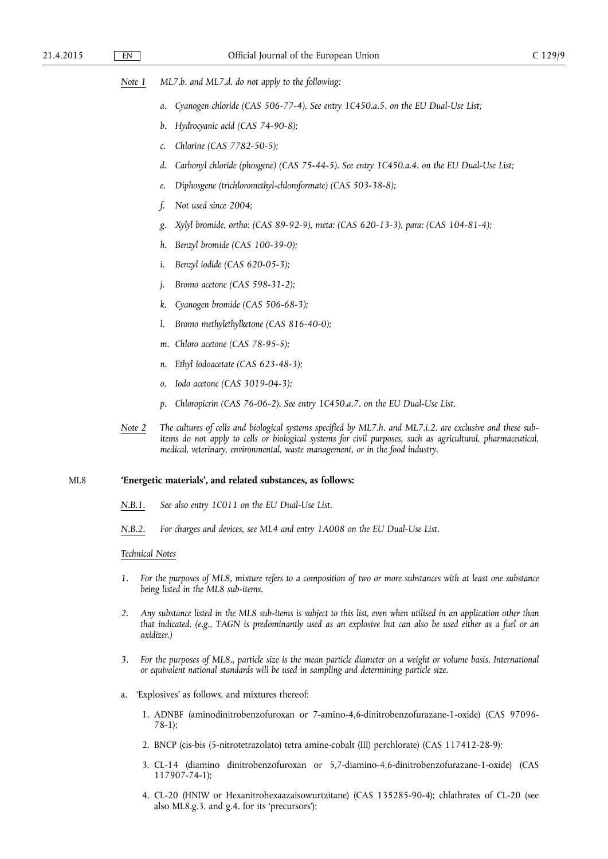- *Note 1 ML7.b. and ML7.d. do not apply to the following:* 
	- a. Cyanogen chloride (CAS 506-77-4). See entry 1C450.a.5. on the EU Dual-Use List;
	- *b. Hydrocyanic acid (CAS 74-90-8);*
	- *c. Chlorine (CAS 7782-50-5);*
	- *d. Carbonyl chloride (phosgene) (CAS 75-44-5). See entry 1C450.a.4. on the EU Dual-Use List;*
	- *e. Diphosgene (trichloromethyl-chloroformate) (CAS 503-38-8);*
	- *f. Not used since 2004;*
	- *g. Xylyl bromide, ortho: (CAS 89-92-9), meta: (CAS 620-13-3), para: (CAS 104-81-4);*
	- *h. Benzyl bromide (CAS 100-39-0);*
	- *i. Benzyl iodide (CAS 620-05-3);*
	- *j. Bromo acetone (CAS 598-31-2);*
	- *k. Cyanogen bromide (CAS 506-68-3);*
	- *l. Bromo methylethylketone (CAS 816-40-0);*
	- *m. Chloro acetone (CAS 78-95-5);*
	- *n. Ethyl iodoacetate (CAS 623-48-3);*
	- *o. Iodo acetone (CAS 3019-04-3);*
	- *p. Chloropicrin (CAS 76-06-2). See entry 1C450.a.7. on the EU Dual-Use List.*
- *Note 2 The cultures of cells and biological systems specified by ML7.h. and ML7.i.2. are exclusive and these subitems do not apply to cells or biological systems for civil purposes, such as agricultural, pharmaceutical, medical, veterinary, environmental, waste management, or in the food industry.*

### ML8 **'Energetic materials', and related substances, as follows:**

- *N.B.1. See also entry 1C011 on the EU Dual-Use List.*
- *N.B.2. For charges and devices, see ML4 and entry 1A008 on the EU Dual-Use List.*

# *Technical Notes*

- *1. For the purposes of ML8, mixture refers to a composition of two or more substances with at least one substance being listed in the ML8 sub-items.*
- *2. Any substance listed in the ML8 sub-items is subject to this list, even when utilised in an application other than that indicated. (e.g., TAGN is predominantly used as an explosive but can also be used either as a fuel or an oxidizer.)*
- *3. For the purposes of ML8., particle size is the mean particle diameter on a weight or volume basis. International or equivalent national standards will be used in sampling and determining particle size.*
- a. 'Explosives' as follows, and mixtures thereof:
	- 1. ADNBF (aminodinitrobenzofuroxan or 7-amino-4,6-dinitrobenzofurazane-1-oxide) (CAS 97096- 78-1);
	- 2. BNCP (cis-bis (5-nitrotetrazolato) tetra amine-cobalt (III) perchlorate) (CAS 117412-28-9);
	- 3. CL-14 (diamino dinitrobenzofuroxan or 5,7-diamino-4,6-dinitrobenzofurazane-1-oxide) (CAS 117907-74-1);
	- 4. CL-20 (HNIW or Hexanitrohexaazaisowurtzitane) (CAS 135285-90-4); chlathrates of CL-20 (see also ML8.g.3. and g.4. for its 'precursors');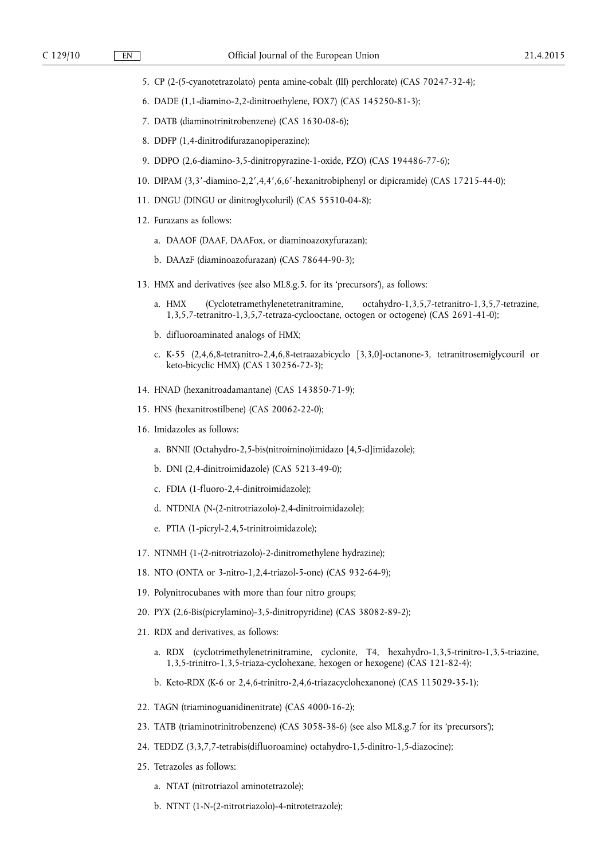- 5. CP (2-(5-cyanotetrazolato) penta amine-cobalt (III) perchlorate) (CAS 70247-32-4);
- 6. DADE (1,1-diamino-2,2-dinitroethylene, FOX7) (CAS 145250-81-3);
- 7. DATB (diaminotrinitrobenzene) (CAS 1630-08-6);
- 8. DDFP (1,4-dinitrodifurazanopiperazine);
- 9. DDPO (2,6-diamino-3,5-dinitropyrazine-1-oxide, PZO) (CAS 194486-77-6);
- 10. DIPAM (3,3′-diamino-2,2′,4,4′,6,6′-hexanitrobiphenyl or dipicramide) (CAS 17215-44-0);
- 11. DNGU (DINGU or dinitroglycoluril) (CAS 55510-04-8);
- 12. Furazans as follows:
	- a. DAAOF (DAAF, DAAFox, or diaminoazoxyfurazan);
	- b. DAAzF (diaminoazofurazan) (CAS 78644-90-3);
- 13. HMX and derivatives (see also ML8.g.5. for its 'precursors'), as follows:
	- a. HMX (Cyclotetramethylenetetranitramine, octahydro-1,3,5,7-tetranitro-1,3,5,7-tetrazine, 1,3,5,7-tetranitro-1,3,5,7-tetraza-cyclooctane, octogen or octogene) (CAS 2691-41-0);
	- b. difluoroaminated analogs of HMX;
	- c. K-55 (2,4,6,8-tetranitro-2,4,6,8-tetraazabicyclo [3,3,0]-octanone-3, tetranitrosemiglycouril or keto-bicyclic HMX) (CAS 130256-72-3);
- 14. HNAD (hexanitroadamantane) (CAS 143850-71-9);
- 15. HNS (hexanitrostilbene) (CAS 20062-22-0);
- 16. Imidazoles as follows:
	- a. BNNII (Octahydro-2,5-bis(nitroimino)imidazo [4,5-d]imidazole);
	- b. DNI (2,4-dinitroimidazole) (CAS 5213-49-0);
	- c. FDIA (1-fluoro-2,4-dinitroimidazole);
	- d. NTDNIA (N-(2-nitrotriazolo)-2,4-dinitroimidazole);
	- e. PTIA (1-picryl-2,4,5-trinitroimidazole);
- 17. NTNMH (1-(2-nitrotriazolo)-2-dinitromethylene hydrazine);
- 18. NTO (ONTA or 3-nitro-1,2,4-triazol-5-one) (CAS 932-64-9);
- 19. Polynitrocubanes with more than four nitro groups;
- 20. PYX (2,6-Bis(picrylamino)-3,5-dinitropyridine) (CAS 38082-89-2);
- 21. RDX and derivatives, as follows:
	- a. RDX (cyclotrimethylenetrinitramine, cyclonite, T4, hexahydro-1,3,5-trinitro-1,3,5-triazine, 1,3,5-trinitro-1,3,5-triaza-cyclohexane, hexogen or hexogene) (CAS 121-82-4);
	- b. Keto-RDX (K-6 or 2,4,6-trinitro-2,4,6-triazacyclohexanone) (CAS 115029-35-1);
- 22. TAGN (triaminoguanidinenitrate) (CAS 4000-16-2);
- 23. TATB (triaminotrinitrobenzene) (CAS 3058-38-6) (see also ML8.g.7 for its 'precursors');
- 24. TEDDZ (3,3,7,7-tetrabis(difluoroamine) octahydro-1,5-dinitro-1,5-diazocine);
- 25. Tetrazoles as follows:
	- a. NTAT (nitrotriazol aminotetrazole);
	- b. NTNT (1-N-(2-nitrotriazolo)-4-nitrotetrazole);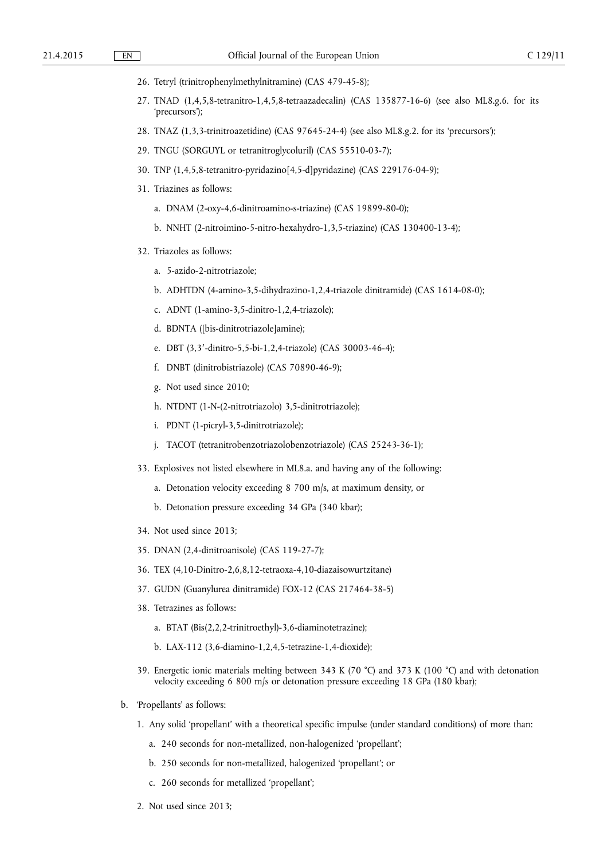- 26. Tetryl (trinitrophenylmethylnitramine) (CAS 479-45-8);
- 27. TNAD (1,4,5,8-tetranitro-1,4,5,8-tetraazadecalin) (CAS 135877-16-6) (see also ML8.g.6. for its 'precursors');
- 28. TNAZ (1,3,3-trinitroazetidine) (CAS 97645-24-4) (see also ML8.g.2. for its 'precursors');
- 29. TNGU (SORGUYL or tetranitroglycoluril) (CAS 55510-03-7);
- 30. TNP (1,4,5,8-tetranitro-pyridazino[4,5-d]pyridazine) (CAS 229176-04-9);
- 31. Triazines as follows:
	- a. DNAM (2-oxy-4,6-dinitroamino-s-triazine) (CAS 19899-80-0);
	- b. NNHT (2-nitroimino-5-nitro-hexahydro-1,3,5-triazine) (CAS 130400-13-4);
- 32. Triazoles as follows:
	- a. 5-azido-2-nitrotriazole;
	- b. ADHTDN (4-amino-3,5-dihydrazino-1,2,4-triazole dinitramide) (CAS 1614-08-0);
	- c. ADNT (1-amino-3,5-dinitro-1,2,4-triazole);
	- d. BDNTA ([bis-dinitrotriazole]amine);
	- e. DBT (3,3′-dinitro-5,5-bi-1,2,4-triazole) (CAS 30003-46-4);
	- f. DNBT (dinitrobistriazole) (CAS 70890-46-9);
	- g. Not used since 2010;
	- h. NTDNT (1-N-(2-nitrotriazolo) 3,5-dinitrotriazole);
	- i. PDNT (1-picryl-3,5-dinitrotriazole);
	- j. TACOT (tetranitrobenzotriazolobenzotriazole) (CAS 25243-36-1);
- 33. Explosives not listed elsewhere in ML8.a. and having any of the following:
	- a. Detonation velocity exceeding 8 700 m/s, at maximum density, or
	- b. Detonation pressure exceeding 34 GPa (340 kbar);
- 34. Not used since 2013;
- 35. DNAN (2,4-dinitroanisole) (CAS 119-27-7);
- 36. TEX (4,10-Dinitro-2,6,8,12-tetraoxa-4,10-diazaisowurtzitane)
- 37. GUDN (Guanylurea dinitramide) FOX-12 (CAS 217464-38-5)
- 38. Tetrazines as follows:
	- a. BTAT (Bis(2,2,2-trinitroethyl)-3,6-diaminotetrazine);
	- b. LAX-112 (3,6-diamino-1,2,4,5-tetrazine-1,4-dioxide);
- 39. Energetic ionic materials melting between 343 K (70 °C) and 373 K (100 °C) and with detonation velocity exceeding 6 800 m/s or detonation pressure exceeding 18 GPa (180 kbar);
- b. 'Propellants' as follows:
	- 1. Any solid 'propellant' with a theoretical specific impulse (under standard conditions) of more than:
		- a. 240 seconds for non-metallized, non-halogenized 'propellant';
		- b. 250 seconds for non-metallized, halogenized 'propellant'; or
		- c. 260 seconds for metallized 'propellant';
	- 2. Not used since 2013;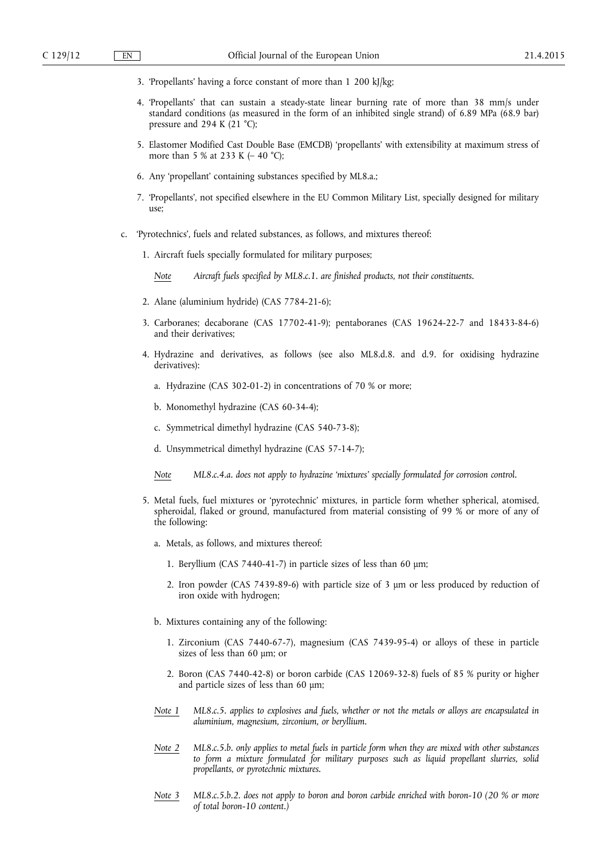- 3. 'Propellants' having a force constant of more than 1 200 kJ/kg;
- 4. 'Propellants' that can sustain a steady-state linear burning rate of more than 38 mm/s under standard conditions (as measured in the form of an inhibited single strand) of 6.89 MPa (68.9 bar) pressure and 294 K (21  $°C$ );
- 5. Elastomer Modified Cast Double Base (EMCDB) 'propellants' with extensibility at maximum stress of more than 5 % at 233 K ( $-$  40 °C);
- 6. Any 'propellant' containing substances specified by ML8.a.;
- 7. 'Propellants', not specified elsewhere in the EU Common Military List, specially designed for military use;
- c. 'Pyrotechnics', fuels and related substances, as follows, and mixtures thereof:
	- 1. Aircraft fuels specially formulated for military purposes;

*Note Aircraft fuels specified by ML8.c.1. are finished products, not their constituents.* 

- 2. Alane (aluminium hydride) (CAS 7784-21-6);
- 3. Carboranes; decaborane (CAS 17702-41-9); pentaboranes (CAS 19624-22-7 and 18433-84-6) and their derivatives;
- 4. Hydrazine and derivatives, as follows (see also ML8.d.8. and d.9. for oxidising hydrazine derivatives):
	- a. Hydrazine (CAS 302-01-2) in concentrations of 70 % or more;
	- b. Monomethyl hydrazine (CAS 60-34-4);
	- c. Symmetrical dimethyl hydrazine (CAS 540-73-8);
	- d. Unsymmetrical dimethyl hydrazine (CAS 57-14-7);
	- *Note ML8.c.4.a. does not apply to hydrazine 'mixtures' specially formulated for corrosion control.*
- 5. Metal fuels, fuel mixtures or 'pyrotechnic' mixtures, in particle form whether spherical, atomised, spheroidal, flaked or ground, manufactured from material consisting of 99 % or more of any of the following:
	- a. Metals, as follows, and mixtures thereof:
		- 1. Beryllium (CAS 7440-41-7) in particle sizes of less than 60 μm;
		- 2. Iron powder (CAS 7439-89-6) with particle size of 3 μm or less produced by reduction of iron oxide with hydrogen;
	- b. Mixtures containing any of the following:
		- 1. Zirconium (CAS 7440-67-7), magnesium (CAS 7439-95-4) or alloys of these in particle sizes of less than 60 μm; or
		- 2. Boron (CAS 7440-42-8) or boron carbide (CAS 12069-32-8) fuels of 85 % purity or higher and particle sizes of less than 60 μm;
	- *Note 1 ML8.c.5. applies to explosives and fuels, whether or not the metals or alloys are encapsulated in aluminium, magnesium, zirconium, or beryllium.*
	- *Note 2 ML8.c.5.b. only applies to metal fuels in particle form when they are mixed with other substances to form a mixture formulated for military purposes such as liquid propellant slurries, solid propellants, or pyrotechnic mixtures.*
	- *Note 3 ML8.c.5.b.2. does not apply to boron and boron carbide enriched with boron-10 (20 % or more of total boron-10 content.)*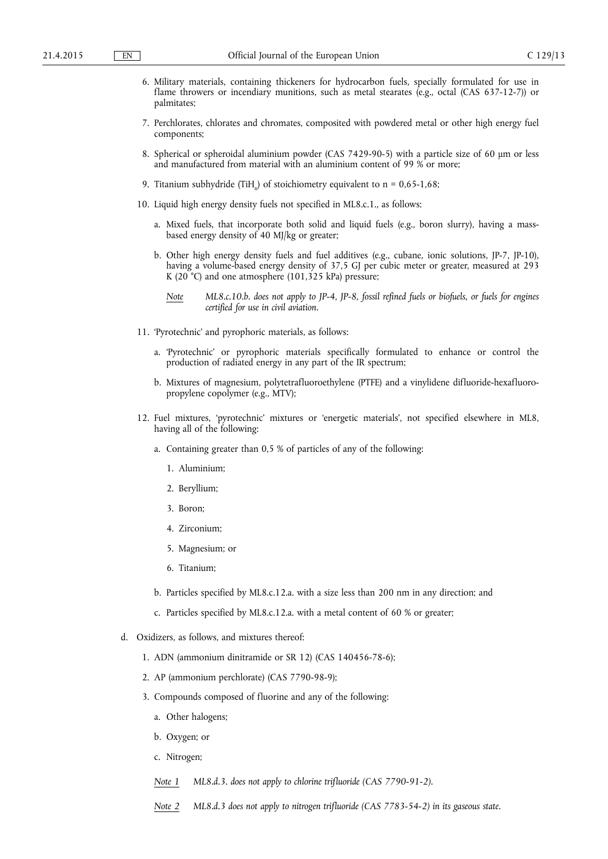- 6. Military materials, containing thickeners for hydrocarbon fuels, specially formulated for use in flame throwers or incendiary munitions, such as metal stearates (e.g., octal (CAS 637-12-7)) or palmitates;
- 7. Perchlorates, chlorates and chromates, composited with powdered metal or other high energy fuel components;
- 8. Spherical or spheroidal aluminium powder (CAS 7429-90-5) with a particle size of 60 μm or less and manufactured from material with an aluminium content of 99 % or more;
- 9. Titanium subhydride (TiH<sub>n</sub>) of stoichiometry equivalent to  $n = 0.65$ -1.68;
- 10. Liquid high energy density fuels not specified in ML8.c.1., as follows:
	- a. Mixed fuels, that incorporate both solid and liquid fuels (e.g., boron slurry), having a massbased energy density of 40 MJ/kg or greater;
	- b. Other high energy density fuels and fuel additives (e.g., cubane, ionic solutions, JP-7, JP-10), having a volume-based energy density of 37,5 GJ per cubic meter or greater, measured at 293 K (20 °C) and one atmosphere (101,325 kPa) pressure;
		- *Note ML8.c.10.b. does not apply to JP-4, JP-8, fossil refined fuels or biofuels, or fuels for engines certified for use in civil aviation.*
- 11. 'Pyrotechnic' and pyrophoric materials, as follows:
	- a. 'Pyrotechnic' or pyrophoric materials specifically formulated to enhance or control the production of radiated energy in any part of the IR spectrum;
	- b. Mixtures of magnesium, polytetrafluoroethylene (PTFE) and a vinylidene difluoride-hexafluoropropylene copolymer (e.g., MTV);
- 12. Fuel mixtures, 'pyrotechnic' mixtures or 'energetic materials', not specified elsewhere in ML8, having all of the following:
	- a. Containing greater than 0,5 % of particles of any of the following:
		- 1. Aluminium;
		- 2. Beryllium;
		- 3. Boron;
		- 4. Zirconium;
		- 5. Magnesium; or
		- 6. Titanium;
	- b. Particles specified by ML8.c.12.a. with a size less than 200 nm in any direction; and
	- c. Particles specified by ML8.c.12.a. with a metal content of 60 % or greater;
- d. Oxidizers, as follows, and mixtures thereof:
	- 1. ADN (ammonium dinitramide or SR 12) (CAS 140456-78-6);
	- 2. AP (ammonium perchlorate) (CAS 7790-98-9);
	- 3. Compounds composed of fluorine and any of the following:
		- a. Other halogens;
		- b. Oxygen; or
		- c. Nitrogen;
		- *Note 1 ML8.d.3. does not apply to chlorine trifluoride (CAS 7790-91-2).*
		- *Note 2 ML8.d.3 does not apply to nitrogen trifluoride (CAS 7783-54-2) in its gaseous state.*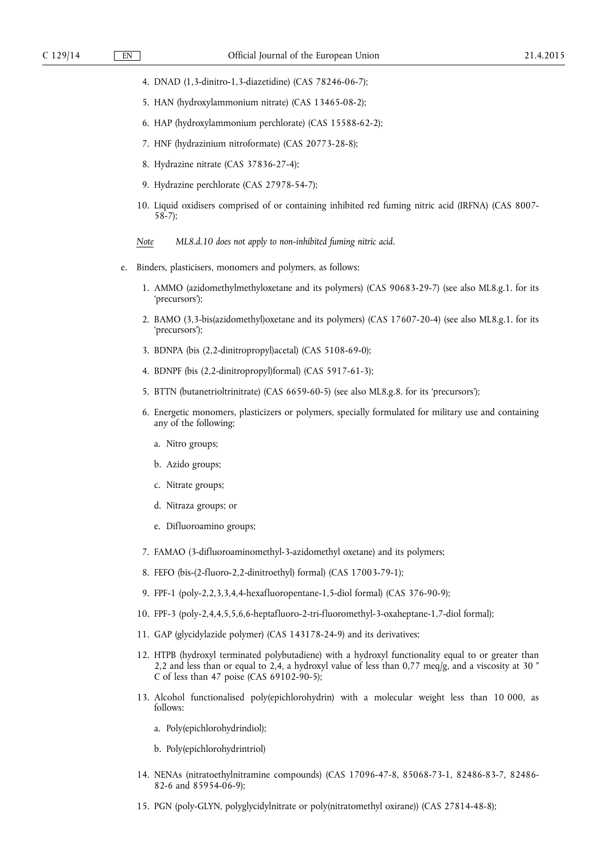- 4. DNAD (1,3-dinitro-1,3-diazetidine) (CAS 78246-06-7);
- 5. HAN (hydroxylammonium nitrate) (CAS 13465-08-2);
- 6. HAP (hydroxylammonium perchlorate) (CAS 15588-62-2);
- 7. HNF (hydrazinium nitroformate) (CAS 20773-28-8);
- 8. Hydrazine nitrate (CAS 37836-27-4);
- 9. Hydrazine perchlorate (CAS 27978-54-7);
- 10. Liquid oxidisers comprised of or containing inhibited red fuming nitric acid (IRFNA) (CAS 8007- 58-7);
- *Note ML8.d.10 does not apply to non-inhibited fuming nitric acid.*
- e. Binders, plasticisers, monomers and polymers, as follows:
	- 1. AMMO (azidomethylmethyloxetane and its polymers) (CAS 90683-29-7) (see also ML8.g.1. for its 'precursors');
	- 2. BAMO (3,3-bis(azidomethyl)oxetane and its polymers) (CAS 17607-20-4) (see also ML8.g.1. for its 'precursors');
	- 3. BDNPA (bis (2,2-dinitropropyl)acetal) (CAS 5108-69-0);
	- 4. BDNPF (bis (2,2-dinitropropyl)formal) (CAS 5917-61-3);
	- 5. BTTN (butanetrioltrinitrate) (CAS 6659-60-5) (see also ML8.g.8. for its 'precursors');
	- 6. Energetic monomers, plasticizers or polymers, specially formulated for military use and containing any of the following;
		- a. Nitro groups;
		- b. Azido groups;
		- c. Nitrate groups;
		- d. Nitraza groups; or
		- e. Difluoroamino groups;
	- 7. FAMAO (3-difluoroaminomethyl-3-azidomethyl oxetane) and its polymers;
	- 8. FEFO (bis-(2-fluoro-2,2-dinitroethyl) formal) (CAS 17003-79-1);
	- 9. FPF-1 (poly-2,2,3,3,4,4-hexafluoropentane-1,5-diol formal) (CAS 376-90-9);
	- 10. FPF-3 (poly-2,4,4,5,5,6,6-heptafluoro-2-tri-fluoromethyl-3-oxaheptane-1,7-diol formal);
	- 11. GAP (glycidylazide polymer) (CAS 143178-24-9) and its derivatives;
	- 12. HTPB (hydroxyl terminated polybutadiene) with a hydroxyl functionality equal to or greater than 2,2 and less than or equal to 2,4, a hydroxyl value of less than 0,77 meq/g, and a viscosity at 30  $^{\circ}$ C of less than 47 poise (CAS 69102-90-5);
	- 13. Alcohol functionalised poly(epichlorohydrin) with a molecular weight less than 10 000, as follows:
		- a. Poly(epichlorohydrindiol);
		- b. Poly(epichlorohydrintriol)
	- 14. NENAs (nitratoethylnitramine compounds) (CAS 17096-47-8, 85068-73-1, 82486-83-7, 82486- 82-6 and 85954-06-9);
	- 15. PGN (poly-GLYN, polyglycidylnitrate or poly(nitratomethyl oxirane)) (CAS 27814-48-8);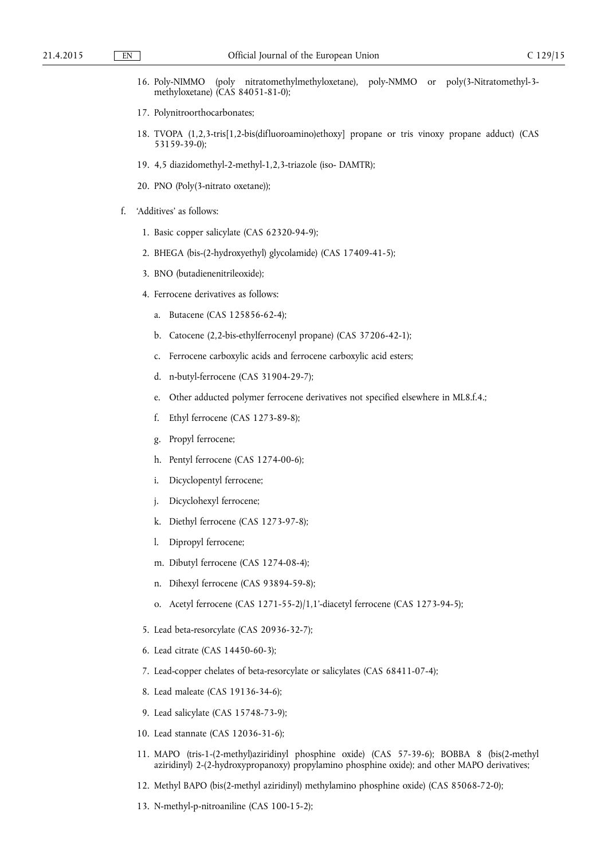- 16. Poly-NIMMO (poly nitratomethylmethyloxetane), poly-NMMO or poly(3-Nitratomethyl-3 methyloxetane) (CAS 84051-81-0);
- 17. Polynitroorthocarbonates;
- 18. TVOPA (1,2,3-tris[1,2-bis(difluoroamino)ethoxy] propane or tris vinoxy propane adduct) (CAS 53159-39-0);
- 19. 4,5 diazidomethyl-2-methyl-1,2,3-triazole (iso- DAMTR);
- 20. PNO (Poly(3-nitrato oxetane));
- f. 'Additives' as follows:
	- 1. Basic copper salicylate (CAS 62320-94-9);
	- 2. BHEGA (bis-(2-hydroxyethyl) glycolamide) (CAS 17409-41-5);
	- 3. BNO (butadienenitrileoxide);
	- 4. Ferrocene derivatives as follows:
		- a. Butacene (CAS 125856-62-4);
		- b. Catocene (2,2-bis-ethylferrocenyl propane) (CAS 37206-42-1);
		- c. Ferrocene carboxylic acids and ferrocene carboxylic acid esters;
		- d. n-butyl-ferrocene (CAS 31904-29-7);
		- e. Other adducted polymer ferrocene derivatives not specified elsewhere in ML8.f.4.;
		- f. Ethyl ferrocene (CAS 1273-89-8);
		- g. Propyl ferrocene;
		- h. Pentyl ferrocene (CAS 1274-00-6);
		- i. Dicyclopentyl ferrocene;
		- j. Dicyclohexyl ferrocene;
		- k. Diethyl ferrocene (CAS 1273-97-8);
		- l. Dipropyl ferrocene;
		- m. Dibutyl ferrocene (CAS 1274-08-4);
		- n. Dihexyl ferrocene (CAS 93894-59-8);
		- o. Acetyl ferrocene (CAS 1271-55-2)/1,1'-diacetyl ferrocene (CAS 1273-94-5);
	- 5. Lead beta-resorcylate (CAS 20936-32-7);
	- 6. Lead citrate (CAS 14450-60-3);
	- 7. Lead-copper chelates of beta-resorcylate or salicylates (CAS 68411-07-4);
	- 8. Lead maleate (CAS 19136-34-6);
	- 9. Lead salicylate (CAS 15748-73-9);
	- 10. Lead stannate (CAS 12036-31-6);
	- 11. MAPO (tris-1-(2-methyl)aziridinyl phosphine oxide) (CAS 57-39-6); BOBBA 8 (bis(2-methyl aziridinyl) 2-(2-hydroxypropanoxy) propylamino phosphine oxide); and other MAPO derivatives;
	- 12. Methyl BAPO (bis(2-methyl aziridinyl) methylamino phosphine oxide) (CAS 85068-72-0);
	- 13. N-methyl-p-nitroaniline (CAS 100-15-2);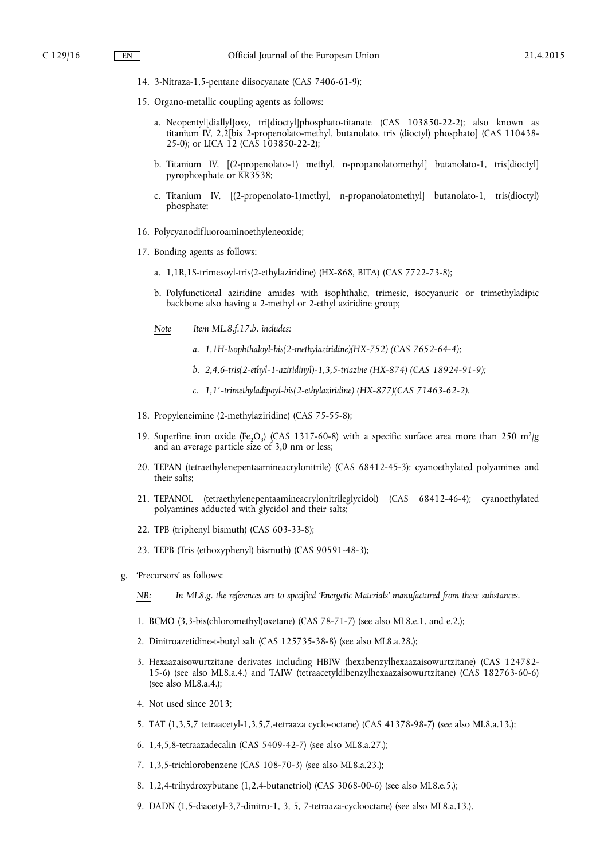- 14. 3-Nitraza-1,5-pentane diisocyanate (CAS 7406-61-9);
- 15. Organo-metallic coupling agents as follows:
	- a. Neopentyl[diallyl]oxy, tri[dioctyl]phosphato-titanate (CAS 103850-22-2); also known as titanium IV, 2,2[bis 2-propenolato-methyl, butanolato, tris (dioctyl) phosphato] (CAS 110438- 25-0); or LICA 12 (CAS 103850-22-2);
	- b. Titanium IV, [(2-propenolato-1) methyl, n-propanolatomethyl] butanolato-1, tris[dioctyl] pyrophosphate or KR3538;
	- c. Titanium IV, [(2-propenolato-1)methyl, n-propanolatomethyl] butanolato-1, tris(dioctyl) phosphate;
- 16. Polycyanodifluoroaminoethyleneoxide;
- 17. Bonding agents as follows:
	- a. 1,1R,1S-trimesoyl-tris(2-ethylaziridine) (HX-868, BITA) (CAS 7722-73-8);
	- b. Polyfunctional aziridine amides with isophthalic, trimesic, isocyanuric or trimethyladipic backbone also having a 2-methyl or 2-ethyl aziridine group;
	- *Note Item ML.8.f.17.b. includes:* 
		- *a. 1,1H-Isophthaloyl-bis(2-methylaziridine)(HX-752) (CAS 7652-64-4);*
		- *b. 2,4,6-tris(2-ethyl-1-aziridinyl)-1,3,5-triazine (HX-874) (CAS 18924-91-9);*
		- *c. 1,1′-trimethyladipoyl-bis(2-ethylaziridine) (HX-877)(CAS 71463-62-2).*
- 18. Propyleneimine (2-methylaziridine) (CAS 75-55-8);
- 19. Superfine iron oxide (Fe,O<sub>3</sub>) (CAS 1317-60-8) with a specific surface area more than 250 m<sup>2</sup>/g and an average particle size of 3,0 nm or less;
- 20. TEPAN (tetraethylenepentaamineacrylonitrile) (CAS 68412-45-3); cyanoethylated polyamines and their salts;
- 21. TEPANOL (tetraethylenepentaamineacrylonitrileglycidol) (CAS 68412-46-4); cyanoethylated polyamines adducted with glycidol and their salts;
- 22. TPB (triphenyl bismuth) (CAS 603-33-8);
- 23. TEPB (Tris (ethoxyphenyl) bismuth) (CAS 90591-48-3);
- g. 'Precursors' as follows:
	- *NB: In ML8.g. the references are to specified 'Energetic Materials' manufactured from these substances.*
	- 1. BCMO (3,3-bis(chloromethyl)oxetane) (CAS 78-71-7) (see also ML8.e.1. and e.2.);
	- 2. Dinitroazetidine-t-butyl salt (CAS 125735-38-8) (see also ML8.a.28.);
	- 3. Hexaazaisowurtzitane derivates including HBIW (hexabenzylhexaazaisowurtzitane) (CAS 124782- 15-6) (see also ML8.a.4.) and TAIW (tetraacetyldibenzylhexaazaisowurtzitane) (CAS 182763-60-6) (see also ML8.a.4.);
	- 4. Not used since 2013;
	- 5. TAT (1,3,5,7 tetraacetyl-1,3,5,7,-tetraaza cyclo-octane) (CAS 41378-98-7) (see also ML8.a.13.);
	- 6. 1,4,5,8-tetraazadecalin (CAS 5409-42-7) (see also ML8.a.27.);
	- 7. 1,3,5-trichlorobenzene (CAS 108-70-3) (see also ML8.a.23.);
	- 8. 1,2,4-trihydroxybutane (1,2,4-butanetriol) (CAS 3068-00-6) (see also ML8.e.5.);
	- 9. DADN (1,5-diacetyl-3,7-dinitro-1, 3, 5, 7-tetraaza-cyclooctane) (see also ML8.a.13.).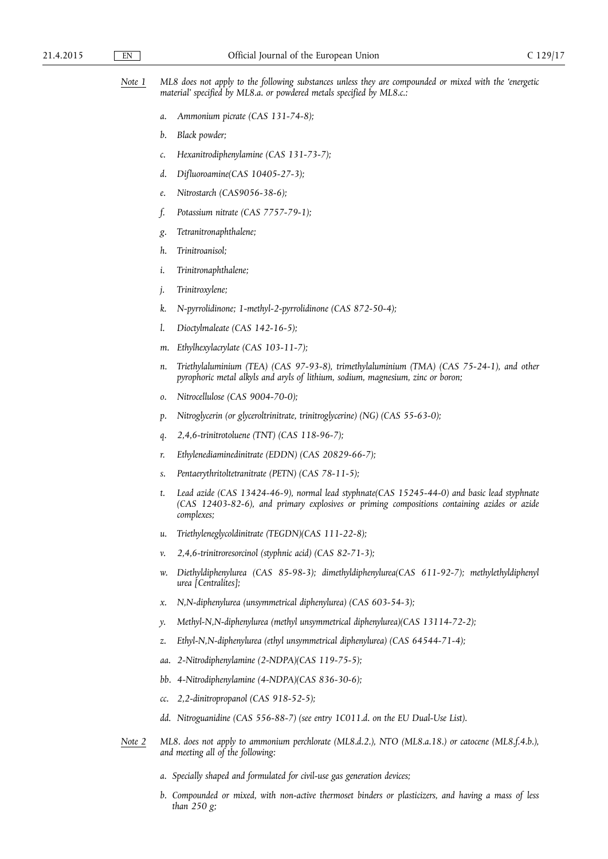*Note 1 ML8 does not apply to the following substances unless they are compounded or mixed with the 'energetic material' specified by ML8.a. or powdered metals specified by ML8.c.:* 

- *a. Ammonium picrate (CAS 131-74-8);*
- *b. Black powder;*
- *c. Hexanitrodiphenylamine (CAS 131-73-7);*
- *d. Difluoroamine(CAS 10405-27-3);*
- *e. Nitrostarch (CAS9056-38-6);*
- *f. Potassium nitrate (CAS 7757-79-1);*
- *g. Tetranitronaphthalene;*
- *h. Trinitroanisol;*
- *i. Trinitronaphthalene;*
- *j. Trinitroxylene;*
- *k. N-pyrrolidinone; 1-methyl-2-pyrrolidinone (CAS 872-50-4);*
- *l. Dioctylmaleate (CAS 142-16-5);*
- *m. Ethylhexylacrylate (CAS 103-11-7);*
- *n.* Triethylaluminium (TEA) (CAS 97-93-8), trimethylaluminium (TMA) (CAS 75-24-1), and other *pyrophoric metal alkyls and aryls of lithium, sodium, magnesium, zinc or boron;*
- *o. Nitrocellulose (CAS 9004-70-0);*
- *p. Nitroglycerin (or glyceroltrinitrate, trinitroglycerine) (NG) (CAS 55-63-0);*
- *q. 2,4,6-trinitrotoluene (TNT) (CAS 118-96-7);*
- *r. Ethylenediaminedinitrate (EDDN) (CAS 20829-66-7);*
- *s. Pentaerythritoltetranitrate (PETN) (CAS 78-11-5);*
- *t. Lead azide (CAS 13424-46-9), normal lead styphnate(CAS 15245-44-0) and basic lead styphnate (CAS 12403-82-6), and primary explosives or priming compositions containing azides or azide complexes;*
- *u. Triethyleneglycoldinitrate (TEGDN)(CAS 111-22-8);*
- *v. 2,4,6-trinitroresorcinol (styphnic acid) (CAS 82-71-3);*
- *w. Diethyldiphenylurea (CAS 85-98-3); dimethyldiphenylurea(CAS 611-92-7); methylethyldiphenyl urea [Centralites];*
- *x. N,N-diphenylurea (unsymmetrical diphenylurea) (CAS 603-54-3);*
- *y. Methyl-N,N-diphenylurea (methyl unsymmetrical diphenylurea)(CAS 13114-72-2);*
- *z. Ethyl-N,N-diphenylurea (ethyl unsymmetrical diphenylurea) (CAS 64544-71-4);*
- *aa. 2-Nitrodiphenylamine (2-NDPA)(CAS 119-75-5);*
- *bb. 4-Nitrodiphenylamine (4-NDPA)(CAS 836-30-6);*
- *cc. 2,2-dinitropropanol (CAS 918-52-5);*
- dd. Nitroguanidine (CAS 556-88-7) (see entry 1C011.d. on the EU Dual-Use List).
- *Note 2 ML8. does not apply to ammonium perchlorate (ML8.d.2.), NTO (ML8.a.18.) or catocene (ML8.f.4.b.), and meeting all of the following:* 
	- *a. Specially shaped and formulated for civil-use gas generation devices;*
	- *b. Compounded or mixed, with non-active thermoset binders or plasticizers, and having a mass of less than 250 g;*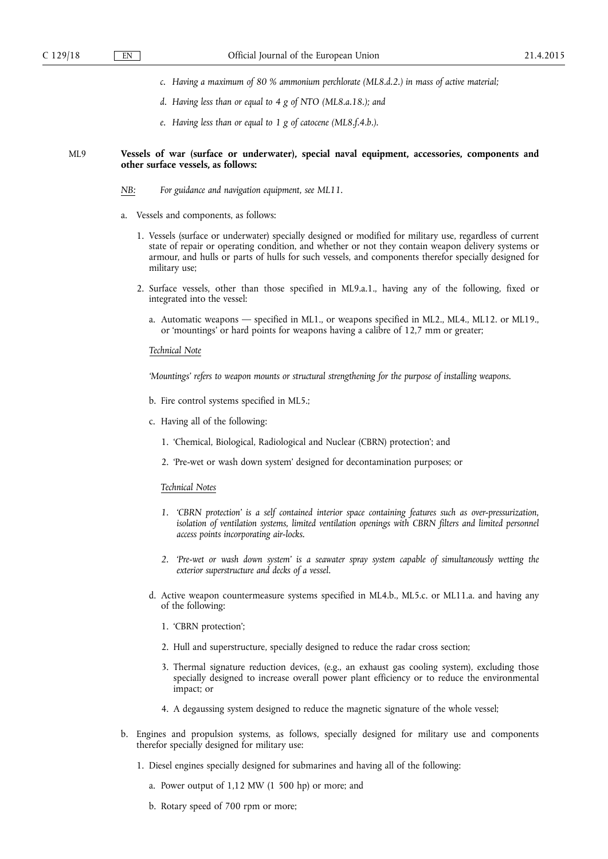- *c. Having a maximum of 80 % ammonium perchlorate (ML8.d.2.) in mass of active material;*
- *d. Having less than or equal to 4 g of NTO (ML8.a.18.); and*
- *e. Having less than or equal to 1 g of catocene (ML8.f.4.b.).*

### ML9 **Vessels of war (surface or underwater), special naval equipment, accessories, components and other surface vessels, as follows:**

- *NB: For guidance and navigation equipment, see ML11.*
- a. Vessels and components, as follows:
	- 1. Vessels (surface or underwater) specially designed or modified for military use, regardless of current state of repair or operating condition, and whether or not they contain weapon delivery systems or armour, and hulls or parts of hulls for such vessels, and components therefor specially designed for military use;
	- 2. Surface vessels, other than those specified in ML9.a.1., having any of the following, fixed or integrated into the vessel:
		- a. Automatic weapons specified in ML1., or weapons specified in ML2., ML4., ML12. or ML19., or 'mountings' or hard points for weapons having a calibre of 12,7 mm or greater;

### *Technical Note*

*'Mountings' refers to weapon mounts or structural strengthening for the purpose of installing weapons.* 

- b. Fire control systems specified in ML5.;
- c. Having all of the following:
	- 1. 'Chemical, Biological, Radiological and Nuclear (CBRN) protection'; and
	- 2. 'Pre-wet or wash down system' designed for decontamination purposes; or

#### *Technical Notes*

- *1. 'CBRN protection' is a self contained interior space containing features such as over-pressurization, isolation of ventilation systems, limited ventilation openings with CBRN filters and limited personnel access points incorporating air-locks.*
- *2. 'Pre-wet or wash down system' is a seawater spray system capable of simultaneously wetting the exterior superstructure and decks of a vessel.*
- d. Active weapon countermeasure systems specified in ML4.b., ML5.c. or ML11.a. and having any of the following:
	- 1. 'CBRN protection';
	- 2. Hull and superstructure, specially designed to reduce the radar cross section;
	- 3. Thermal signature reduction devices, (e.g., an exhaust gas cooling system), excluding those specially designed to increase overall power plant efficiency or to reduce the environmental impact; or
	- 4. A degaussing system designed to reduce the magnetic signature of the whole vessel;
- b. Engines and propulsion systems, as follows, specially designed for military use and components therefor specially designed for military use:
	- 1. Diesel engines specially designed for submarines and having all of the following:
		- a. Power output of 1,12 MW (1 500 hp) or more; and
		- b. Rotary speed of 700 rpm or more;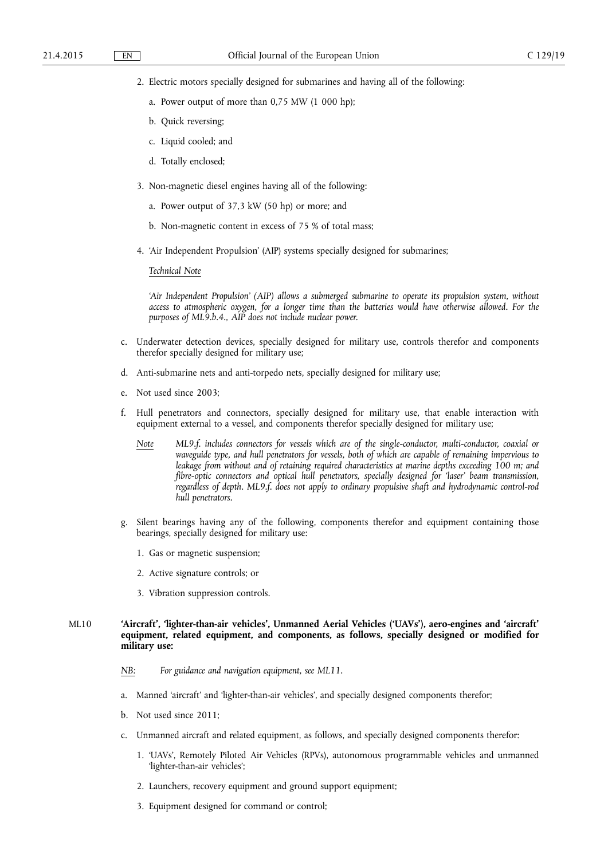- 2. Electric motors specially designed for submarines and having all of the following:
	- a. Power output of more than 0,75 MW (1 000 hp);
	- b. Quick reversing;
	- c. Liquid cooled; and
	- d. Totally enclosed;
- 3. Non-magnetic diesel engines having all of the following:
	- a. Power output of 37,3 kW (50 hp) or more; and
	- b. Non-magnetic content in excess of 75 % of total mass;
- 4. 'Air Independent Propulsion' (AIP) systems specially designed for submarines;

*Technical Note* 

*'Air Independent Propulsion' (AIP) allows a submerged submarine to operate its propulsion system, without access to atmospheric oxygen, for a longer time than the batteries would have otherwise allowed. For the purposes of ML9.b.4., AIP does not include nuclear power.* 

- c. Underwater detection devices, specially designed for military use, controls therefor and components therefor specially designed for military use;
- d. Anti-submarine nets and anti-torpedo nets, specially designed for military use;
- e. Not used since 2003;
- f. Hull penetrators and connectors, specially designed for military use, that enable interaction with equipment external to a vessel, and components therefor specially designed for military use;
	- *Note ML9.f. includes connectors for vessels which are of the single-conductor, multi-conductor, coaxial or waveguide type, and hull penetrators for vessels, both of which are capable of remaining impervious to leakage from without and of retaining required characteristics at marine depths exceeding 100 m; and fibre-optic connectors and optical hull penetrators, specially designed for 'laser' beam transmission, regardless of depth. ML9.f. does not apply to ordinary propulsive shaft and hydrodynamic control-rod hull penetrators.*
- Silent bearings having any of the following, components therefor and equipment containing those bearings, specially designed for military use:
	- 1. Gas or magnetic suspension;
	- 2. Active signature controls; or
	- 3. Vibration suppression controls.

# ML10 **'Aircraft', 'lighter-than-air vehicles', Unmanned Aerial Vehicles ('UAVs'), aero-engines and 'aircraft' equipment, related equipment, and components, as follows, specially designed or modified for military use:**

- *NB: For guidance and navigation equipment, see ML11.*
- a. Manned 'aircraft' and 'lighter-than-air vehicles', and specially designed components therefor;
- b. Not used since 2011;
- c. Unmanned aircraft and related equipment, as follows, and specially designed components therefor:
	- 1. 'UAVs', Remotely Piloted Air Vehicles (RPVs), autonomous programmable vehicles and unmanned 'lighter-than-air vehicles';
	- 2. Launchers, recovery equipment and ground support equipment;
	- 3. Equipment designed for command or control;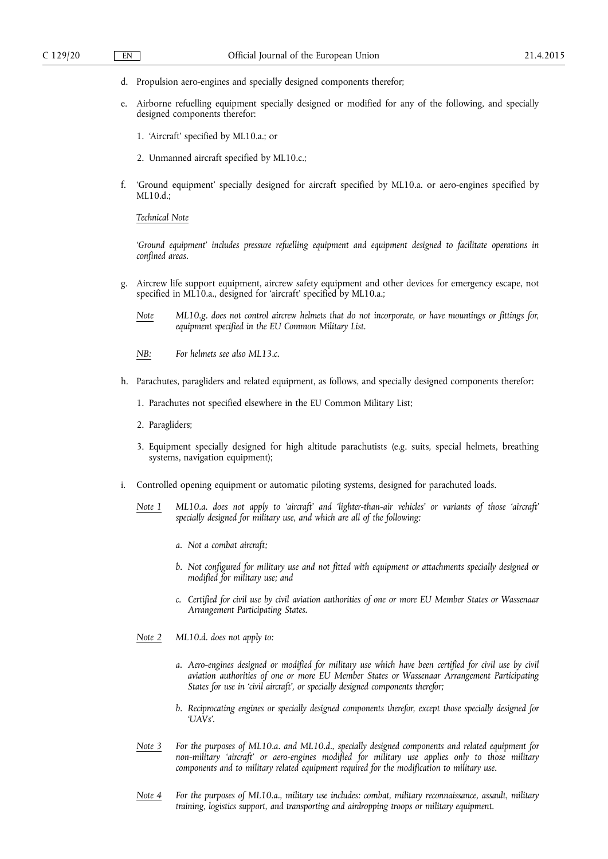- d. Propulsion aero-engines and specially designed components therefor;
- e. Airborne refuelling equipment specially designed or modified for any of the following, and specially designed components therefor:
	- 1. 'Aircraft' specified by ML10.a.; or
	- 2. Unmanned aircraft specified by ML10.c.;
- f. 'Ground equipment' specially designed for aircraft specified by ML10.a. or aero-engines specified by ML10.d.;

*Technical Note* 

*'Ground equipment' includes pressure refuelling equipment and equipment designed to facilitate operations in confined areas.* 

- g. Aircrew life support equipment, aircrew safety equipment and other devices for emergency escape, not specified in ML10.a., designed for 'aircraft' specified by ML10.a.;
	- *Note ML10.g. does not control aircrew helmets that do not incorporate, or have mountings or fittings for, equipment specified in the EU Common Military List.*
	- *NB: For helmets see also ML13.c.*
- h. Parachutes, paragliders and related equipment, as follows, and specially designed components therefor:
	- 1. Parachutes not specified elsewhere in the EU Common Military List;
	- 2. Paragliders;
	- 3. Equipment specially designed for high altitude parachutists (e.g. suits, special helmets, breathing systems, navigation equipment);
- i. Controlled opening equipment or automatic piloting systems, designed for parachuted loads.
	- *Note 1 ML10.a. does not apply to 'aircraft' and 'lighter-than-air vehicles' or variants of those 'aircraft' specially designed for military use, and which are all of the following:* 
		- *a. Not a combat aircraft;*
		- *b. Not configured for military use and not fitted with equipment or attachments specially designed or modified for military use; and*
		- *c. Certified for civil use by civil aviation authorities of one or more EU Member States or Wassenaar Arrangement Participating States.*
	- *Note 2 ML10.d. does not apply to:* 
		- *a. Aero-engines designed or modified for military use which have been certified for civil use by civil aviation authorities of one or more EU Member States or Wassenaar Arrangement Participating States for use in 'civil aircraft', or specially designed components therefor;*
		- *b. Reciprocating engines or specially designed components therefor, except those specially designed for 'UAVs'.*
	- *Note 3 For the purposes of ML10.a. and ML10.d., specially designed components and related equipment for non-military 'aircraft' or aero-engines modified for military use applies only to those military components and to military related equipment required for the modification to military use.*
	- *Note 4 For the purposes of ML10.a., military use includes: combat, military reconnaissance, assault, military training, logistics support, and transporting and airdropping troops or military equipment.*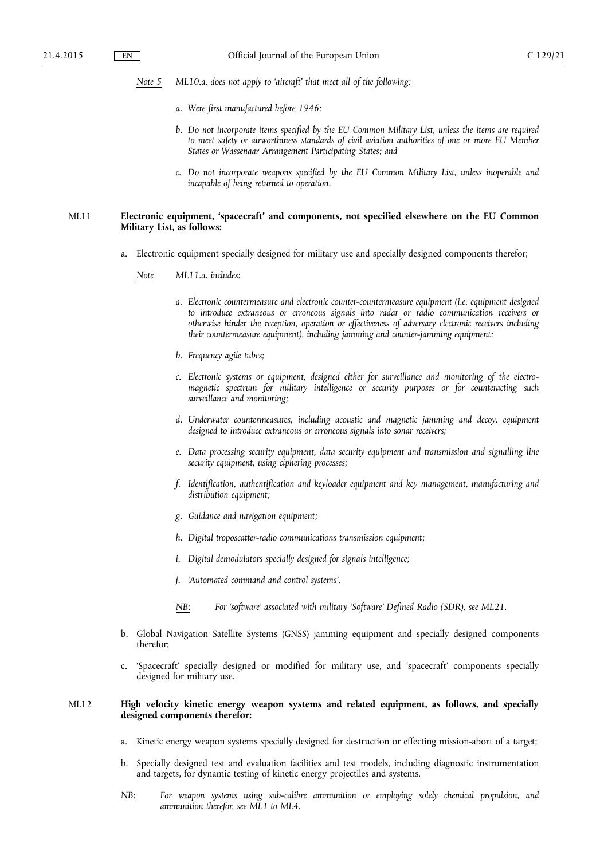- *Note 5 ML10.a. does not apply to 'aircraft' that meet all of the following:* 
	- *a. Were first manufactured before 1946;*
	- *b. Do not incorporate items specified by the EU Common Military List, unless the items are required to meet safety or airworthiness standards of civil aviation authorities of one or more EU Member States or Wassenaar Arrangement Participating States; and*
	- *c. Do not incorporate weapons specified by the EU Common Military List, unless inoperable and incapable of being returned to operation.*

# ML11 **Electronic equipment, 'spacecraft' and components, not specified elsewhere on the EU Common Military List, as follows:**

- a. Electronic equipment specially designed for military use and specially designed components therefor;
	- *Note ML11.a. includes:* 
		- *a. Electronic countermeasure and electronic counter-countermeasure equipment (i.e. equipment designed to introduce extraneous or erroneous signals into radar or radio communication receivers or otherwise hinder the reception, operation or effectiveness of adversary electronic receivers including their countermeasure equipment), including jamming and counter-jamming equipment;*
		- *b. Frequency agile tubes;*
		- *c. Electronic systems or equipment, designed either for surveillance and monitoring of the electromagnetic spectrum for military intelligence or security purposes or for counteracting such surveillance and monitoring;*
		- *d. Underwater countermeasures, including acoustic and magnetic jamming and decoy, equipment designed to introduce extraneous or erroneous signals into sonar receivers;*
		- *e. Data processing security equipment, data security equipment and transmission and signalling line security equipment, using ciphering processes;*
		- *f. Identification, authentification and keyloader equipment and key management, manufacturing and distribution equipment;*
		- *g. Guidance and navigation equipment;*
		- *h. Digital troposcatter-radio communications transmission equipment;*
		- *i. Digital demodulators specially designed for signals intelligence;*
		- *j. 'Automated command and control systems'.*
		- *NB: For 'software' associated with military 'Software' Defined Radio (SDR), see ML21.*
- b. Global Navigation Satellite Systems (GNSS) jamming equipment and specially designed components therefor;
- c. 'Spacecraft' specially designed or modified for military use, and 'spacecraft' components specially designed for military use.

# ML12 **High velocity kinetic energy weapon systems and related equipment, as follows, and specially designed components therefor:**

- a. Kinetic energy weapon systems specially designed for destruction or effecting mission-abort of a target;
- b. Specially designed test and evaluation facilities and test models, including diagnostic instrumentation and targets, for dynamic testing of kinetic energy projectiles and systems.
- *NB: For weapon systems using sub-calibre ammunition or employing solely chemical propulsion, and ammunition therefor, see ML1 to ML4.*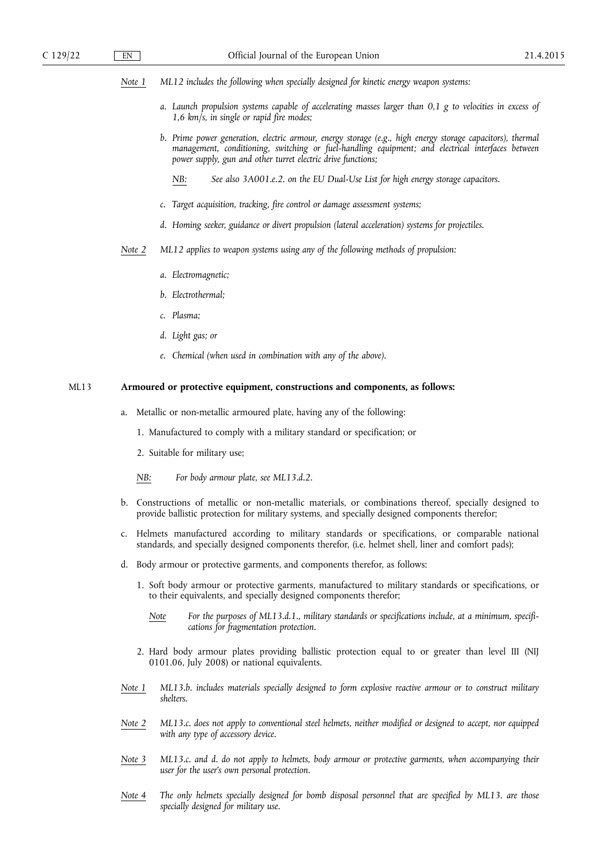*Note 1 ML12 includes the following when specially designed for kinetic energy weapon systems:* 

- *a. Launch propulsion systems capable of accelerating masses larger than 0,1 g to velocities in excess of 1,6 km/s, in single or rapid fire modes;*
- *b. Prime power generation, electric armour, energy storage (e.g., high energy storage capacitors), thermal management, conditioning, switching or fuel-handling equipment; and electrical interfaces between power supply, gun and other turret electric drive functions;* 
	- *NB: See also 3A001.e.2. on the EU Dual-Use List for high energy storage capacitors.*
- *c. Target acquisition, tracking, fire control or damage assessment systems;*
- *d. Homing seeker, guidance or divert propulsion (lateral acceleration) systems for projectiles.*
- *Note 2 ML12 applies to weapon systems using any of the following methods of propulsion:* 
	- *a. Electromagnetic;*
	- *b. Electrothermal;*
	- *c. Plasma;*
	- *d. Light gas; or*
	- *e. Chemical (when used in combination with any of the above).*

# ML13 **Armoured or protective equipment, constructions and components, as follows:**

- a. Metallic or non-metallic armoured plate, having any of the following:
	- 1. Manufactured to comply with a military standard or specification; or
	- 2. Suitable for military use;
	- *NB: For body armour plate, see ML13.d.2.*
- b. Constructions of metallic or non-metallic materials, or combinations thereof, specially designed to provide ballistic protection for military systems, and specially designed components therefor;
- c. Helmets manufactured according to military standards or specifications, or comparable national standards, and specially designed components therefor, (i.e. helmet shell, liner and comfort pads);
- d. Body armour or protective garments, and components therefor, as follows:
	- 1. Soft body armour or protective garments, manufactured to military standards or specifications, or to their equivalents, and specially designed components therefor;
		- *Note For the purposes of ML13.d.1., military standards or specifications include, at a minimum, specifications for fragmentation protection.*
	- 2. Hard body armour plates providing ballistic protection equal to or greater than level III (NIJ 0101.06, July 2008) or national equivalents.
- *Note 1 ML13.b. includes materials specially designed to form explosive reactive armour or to construct military shelters.*
- *Note 2 ML13.c. does not apply to conventional steel helmets, neither modified or designed to accept, nor equipped with any type of accessory device.*
- *Note 3 ML13.c. and d. do not apply to helmets, body armour or protective garments, when accompanying their user for the user's own personal protection.*
- *Note 4 The only helmets specially designed for bomb disposal personnel that are specified by ML13. are those specially designed for military use.*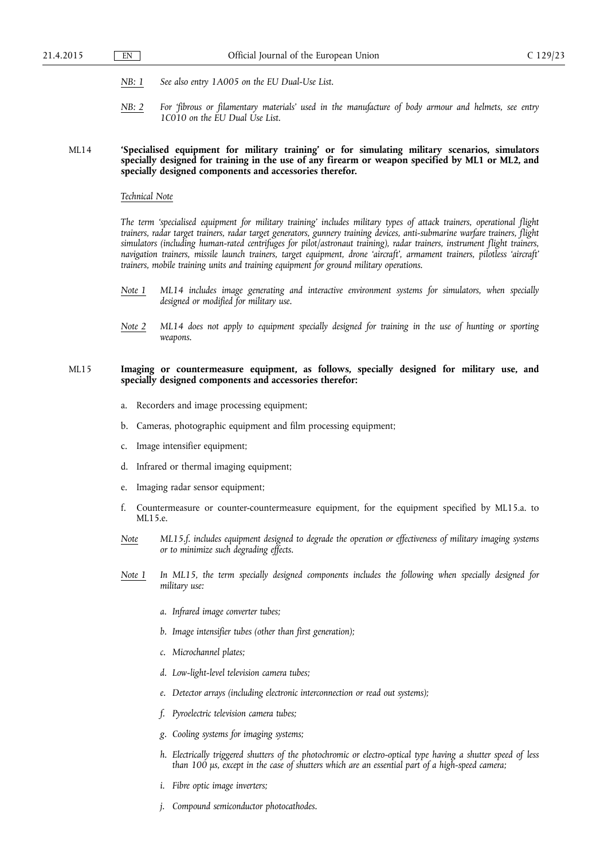- *NB: 1 See also entry 1A005 on the EU Dual-Use List.*
- *NB: 2 For 'fibrous or filamentary materials' used in the manufacture of body armour and helmets, see entry 1C010 on the EU Dual Use List.*

# ML14 **'Specialised equipment for military training' or for simulating military scenarios, simulators specially designed for training in the use of any firearm or weapon specified by ML1 or ML2, and specially designed components and accessories therefor.**

# *Technical Note*

*The term 'specialised equipment for military training' includes military types of attack trainers, operational flight trainers, radar target trainers, radar target generators, gunnery training devices, anti-submarine warfare trainers, flight simulators (including human-rated centrifuges for pilot/astronaut training), radar trainers, instrument flight trainers, navigation trainers, missile launch trainers, target equipment, drone 'aircraft', armament trainers, pilotless 'aircraft' trainers, mobile training units and training equipment for ground military operations.* 

- *Note 1 ML14 includes image generating and interactive environment systems for simulators, when specially designed or modified for military use.*
- *Note 2 ML14 does not apply to equipment specially designed for training in the use of hunting or sporting weapons.*

## ML15 **Imaging or countermeasure equipment, as follows, specially designed for military use, and specially designed components and accessories therefor:**

- a. Recorders and image processing equipment;
- b. Cameras, photographic equipment and film processing equipment;
- c. Image intensifier equipment;
- d. Infrared or thermal imaging equipment;
- e. Imaging radar sensor equipment;
- f. Countermeasure or counter-countermeasure equipment, for the equipment specified by ML15.a. to ML15.e.
- *Note ML15.f. includes equipment designed to degrade the operation or effectiveness of military imaging systems or to minimize such degrading effects.*
- *Note 1 In ML15, the term specially designed components includes the following when specially designed for military use:* 
	- *a. Infrared image converter tubes;*
	- *b. Image intensifier tubes (other than first generation);*
	- *c. Microchannel plates;*
	- *d. Low-light-level television camera tubes;*
	- *e. Detector arrays (including electronic interconnection or read out systems);*
	- *f. Pyroelectric television camera tubes;*
	- *g. Cooling systems for imaging systems;*
	- *h. Electrically triggered shutters of the photochromic or electro-optical type having a shutter speed of less than 100 μs, except in the case of shutters which are an essential part of a high-speed camera;*
	- *i. Fibre optic image inverters;*
	- *j. Compound semiconductor photocathodes.*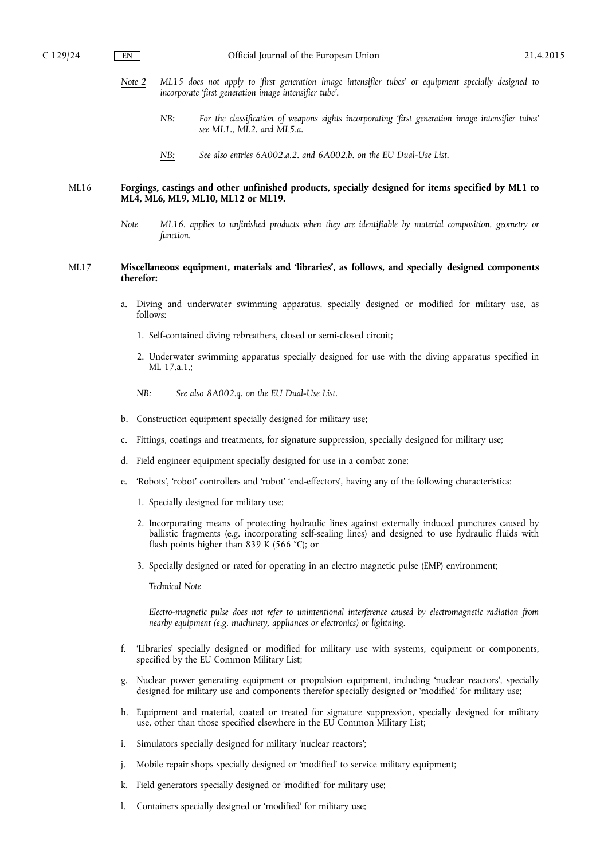- *Note 2 ML15 does not apply to 'first generation image intensifier tubes' or equipment specially designed to incorporate 'first generation image intensifier tube'.* 
	- *NB: For the classification of weapons sights incorporating 'first generation image intensifier tubes' see ML1., ML2. and ML5.a.*
	- *NB: See also entries 6A002.a.2. and 6A002.b. on the EU Dual-Use List.*

# ML16 **Forgings, castings and other unfinished products, specially designed for items specified by ML1 to ML4, ML6, ML9, ML10, ML12 or ML19.**

*Note ML16. applies to unfinished products when they are identifiable by material composition, geometry or function.* 

# ML17 **Miscellaneous equipment, materials and 'libraries', as follows, and specially designed components therefor:**

- a. Diving and underwater swimming apparatus, specially designed or modified for military use, as follows:
	- 1. Self-contained diving rebreathers, closed or semi-closed circuit;
	- 2. Underwater swimming apparatus specially designed for use with the diving apparatus specified in ML 17.a.1.;
	- *NB: See also 8A002.q. on the EU Dual-Use List.*
- b. Construction equipment specially designed for military use;
- c. Fittings, coatings and treatments, for signature suppression, specially designed for military use;
- d. Field engineer equipment specially designed for use in a combat zone;
- e. 'Robots', 'robot' controllers and 'robot' 'end-effectors', having any of the following characteristics:
	- 1. Specially designed for military use;
	- 2. Incorporating means of protecting hydraulic lines against externally induced punctures caused by ballistic fragments (e.g. incorporating self-sealing lines) and designed to use hydraulic fluids with flash points higher than 839 K (566 °C); or
	- 3. Specially designed or rated for operating in an electro magnetic pulse (EMP) environment;

# *Technical Note*

*Electro-magnetic pulse does not refer to unintentional interference caused by electromagnetic radiation from nearby equipment (e.g. machinery, appliances or electronics) or lightning.* 

- f. 'Libraries' specially designed or modified for military use with systems, equipment or components, specified by the EU Common Military List;
- g. Nuclear power generating equipment or propulsion equipment, including 'nuclear reactors', specially designed for military use and components therefor specially designed or 'modified' for military use;
- h. Equipment and material, coated or treated for signature suppression, specially designed for military use, other than those specified elsewhere in the EU Common Military List;
- i. Simulators specially designed for military 'nuclear reactors';
- j. Mobile repair shops specially designed or 'modified' to service military equipment;
- k. Field generators specially designed or 'modified' for military use;
- l. Containers specially designed or 'modified' for military use;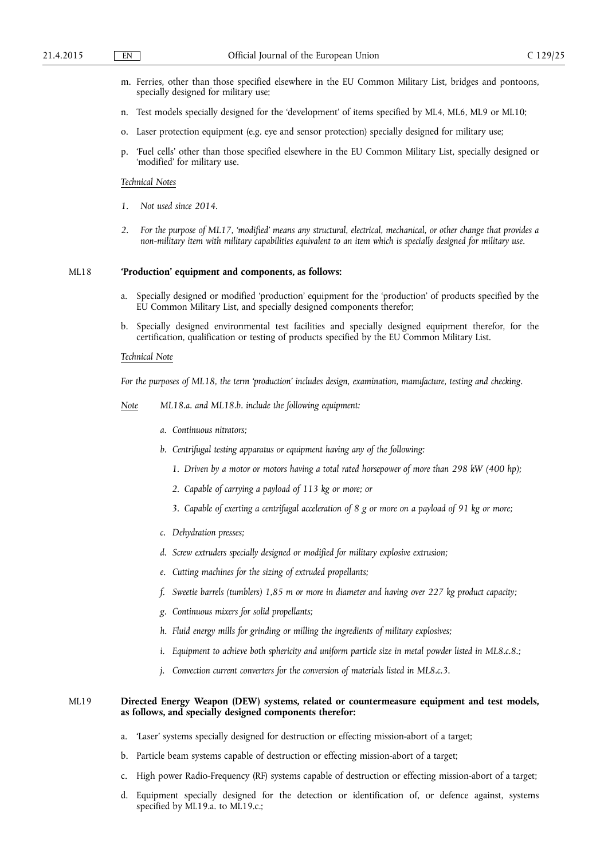- m. Ferries, other than those specified elsewhere in the EU Common Military List, bridges and pontoons, specially designed for military use;
- n. Test models specially designed for the 'development' of items specified by ML4, ML6, ML9 or ML10;
- o. Laser protection equipment (e.g. eye and sensor protection) specially designed for military use;
- p. 'Fuel cells' other than those specified elsewhere in the EU Common Military List, specially designed or 'modified' for military use.

#### *Technical Notes*

- *1. Not used since 2014.*
- *2. For the purpose of ML17, 'modified' means any structural, electrical, mechanical, or other change that provides a non-military item with military capabilities equivalent to an item which is specially designed for military use.*

#### ML18 **'Production' equipment and components, as follows:**

- Specially designed or modified 'production' equipment for the 'production' of products specified by the EU Common Military List, and specially designed components therefor;
- b. Specially designed environmental test facilities and specially designed equipment therefor, for the certification, qualification or testing of products specified by the EU Common Military List.

#### *Technical Note*

*For the purposes of ML18, the term 'production' includes design, examination, manufacture, testing and checking.* 

*Note ML18.a. and ML18.b. include the following equipment:* 

- *a. Continuous nitrators;*
- *b. Centrifugal testing apparatus or equipment having any of the following:* 
	- *1. Driven by a motor or motors having a total rated horsepower of more than 298 kW (400 hp);*
	- *2. Capable of carrying a payload of 113 kg or more; or*
	- *3. Capable of exerting a centrifugal acceleration of 8 g or more on a payload of 91 kg or more;*
- *c. Dehydration presses;*
- *d. Screw extruders specially designed or modified for military explosive extrusion;*
- *e. Cutting machines for the sizing of extruded propellants;*
- *f. Sweetie barrels (tumblers) 1,85 m or more in diameter and having over 227 kg product capacity;*
- *g. Continuous mixers for solid propellants;*
- *h. Fluid energy mills for grinding or milling the ingredients of military explosives;*
- *i.* Equipment to achieve both sphericity and uniform particle size in metal powder listed in ML8.c.8.;
- *j. Convection current converters for the conversion of materials listed in ML8.c.3.*

# ML19 **Directed Energy Weapon (DEW) systems, related or countermeasure equipment and test models, as follows, and specially designed components therefor:**

- a. 'Laser' systems specially designed for destruction or effecting mission-abort of a target;
- b. Particle beam systems capable of destruction or effecting mission-abort of a target;
- c. High power Radio-Frequency (RF) systems capable of destruction or effecting mission-abort of a target;
- d. Equipment specially designed for the detection or identification of, or defence against, systems specified by ML19.a. to ML19.c.;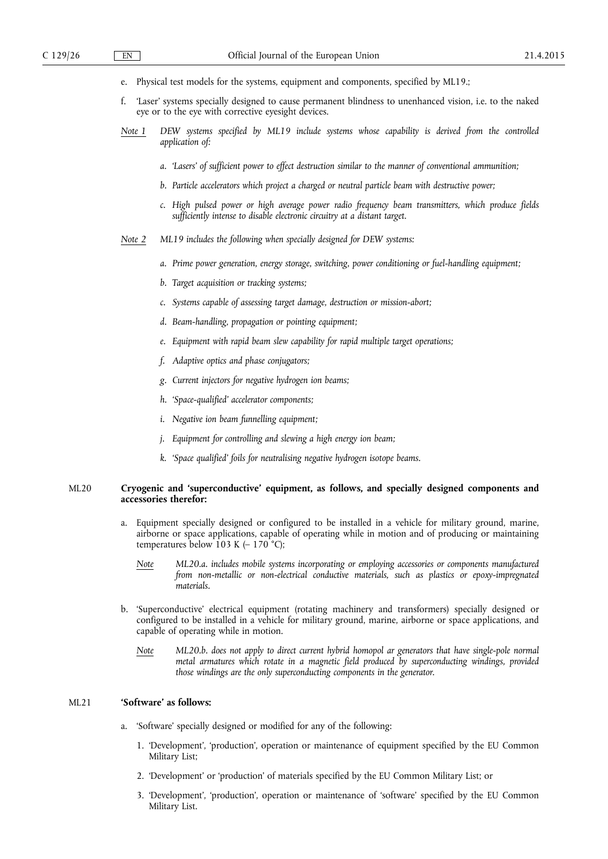- e. Physical test models for the systems, equipment and components, specified by ML19.;
- f. 'Laser' systems specially designed to cause permanent blindness to unenhanced vision, i.e. to the naked eye or to the eye with corrective eyesight devices.
- *Note 1 DEW systems specified by ML19 include systems whose capability is derived from the controlled application of:* 
	- *a. 'Lasers' of sufficient power to effect destruction similar to the manner of conventional ammunition;*
	- *b. Particle accelerators which project a charged or neutral particle beam with destructive power;*
	- *c. High pulsed power or high average power radio frequency beam transmitters, which produce fields sufficiently intense to disable electronic circuitry at a distant target.*
- *Note 2 ML19 includes the following when specially designed for DEW systems:* 
	- *a. Prime power generation, energy storage, switching, power conditioning or fuel-handling equipment;*
	- *b. Target acquisition or tracking systems;*
	- *c. Systems capable of assessing target damage, destruction or mission-abort;*
	- *d. Beam-handling, propagation or pointing equipment;*
	- *e. Equipment with rapid beam slew capability for rapid multiple target operations;*
	- *f. Adaptive optics and phase conjugators;*
	- *g. Current injectors for negative hydrogen ion beams;*
	- *h. 'Space-qualified' accelerator components;*
	- *i. Negative ion beam funnelling equipment;*
	- *j. Equipment for controlling and slewing a high energy ion beam;*
	- *k. 'Space qualified' foils for neutralising negative hydrogen isotope beams.*

# ML20 **Cryogenic and 'superconductive' equipment, as follows, and specially designed components and accessories therefor:**

- Equipment specially designed or configured to be installed in a vehicle for military ground, marine, airborne or space applications, capable of operating while in motion and of producing or maintaining temperatures below 103 K  $(-170^{\circ}$ C);
	- *Note ML20.a. includes mobile systems incorporating or employing accessories or components manufactured from non-metallic or non-electrical conductive materials, such as plastics or epoxy-impregnated materials.*
- b. 'Superconductive' electrical equipment (rotating machinery and transformers) specially designed or configured to be installed in a vehicle for military ground, marine, airborne or space applications, and capable of operating while in motion.
	- *Note ML20.b. does not apply to direct current hybrid homopol ar generators that have single-pole normal metal armatures which rotate in a magnetic field produced by superconducting windings, provided those windings are the only superconducting components in the generator.*

# ML21 **'Software' as follows:**

- a. 'Software' specially designed or modified for any of the following:
	- 1. 'Development', 'production', operation or maintenance of equipment specified by the EU Common Military List;
	- 2. 'Development' or 'production' of materials specified by the EU Common Military List; or
	- 3. 'Development', 'production', operation or maintenance of 'software' specified by the EU Common Military List.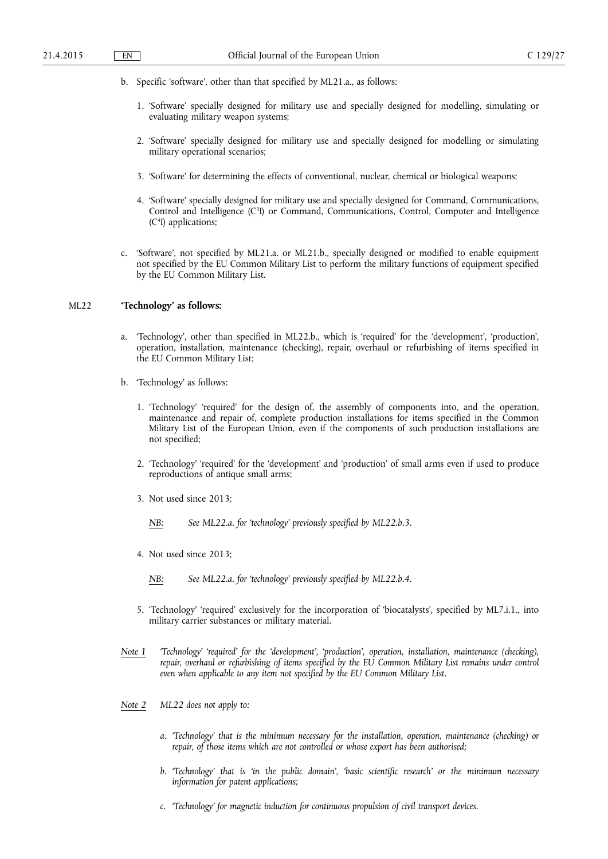- b. Specific 'software', other than that specified by ML21.a., as follows:
	- 1. 'Software' specially designed for military use and specially designed for modelling, simulating or evaluating military weapon systems;
	- 2. 'Software' specially designed for military use and specially designed for modelling or simulating military operational scenarios;
	- 3. 'Software' for determining the effects of conventional, nuclear, chemical or biological weapons;
	- 4. 'Software' specially designed for military use and specially designed for Command, Communications, Control and Intelligence (C3I) or Command, Communications, Control, Computer and Intelligence (C4I) applications;
- c. 'Software', not specified by ML21.a. or ML21.b., specially designed or modified to enable equipment not specified by the EU Common Military List to perform the military functions of equipment specified by the EU Common Military List.

# ML22 **'Technology' as follows:**

- a. 'Technology', other than specified in ML22.b., which is 'required' for the 'development', 'production', operation, installation, maintenance (checking), repair, overhaul or refurbishing of items specified in the EU Common Military List;
- b. 'Technology' as follows:
	- 1. 'Technology' 'required' for the design of, the assembly of components into, and the operation, maintenance and repair of, complete production installations for items specified in the Common Military List of the European Union, even if the components of such production installations are not specified;
	- 2. 'Technology' 'required' for the 'development' and 'production' of small arms even if used to produce reproductions of antique small arms;
	- 3. Not used since 2013;
		- *NB: See ML22.a. for 'technology' previously specified by ML22.b.3.*
	- 4. Not used since 2013;
		- *NB: See ML22.a. for 'technology' previously specified by ML22.b.4.*
	- 5. 'Technology' 'required' exclusively for the incorporation of 'biocatalysts', specified by ML7.i.1., into military carrier substances or military material.
- *Note 1 'Technology' 'required' for the 'development', 'production', operation, installation, maintenance (checking), repair, overhaul or refurbishing of items specified by the EU Common Military List remains under control even when applicable to any item not specified by the EU Common Military List.*
- *Note 2 ML22 does not apply to:* 
	- *a. 'Technology' that is the minimum necessary for the installation, operation, maintenance (checking) or*  repair, of those items which are not controlled or whose export has been authorised;
	- *b. 'Technology' that is 'in the public domain', 'basic scientific research' or the minimum necessary information for patent applications;*
	- *c. 'Technology' for magnetic induction for continuous propulsion of civil transport devices.*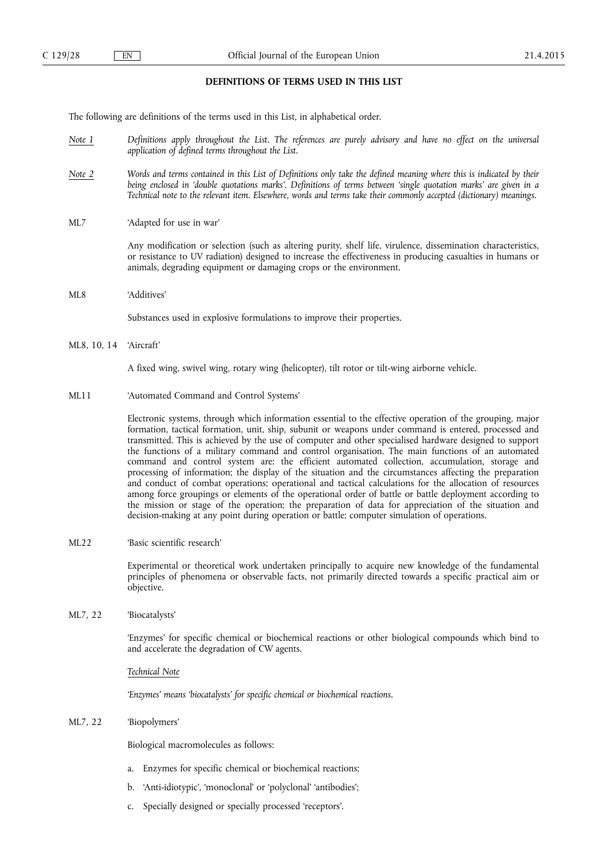# **DEFINITIONS OF TERMS USED IN THIS LIST**

The following are definitions of the terms used in this List, in alphabetical order.

- *Note 1 Definitions apply throughout the List. The references are purely advisory and have no effect on the universal application of defined terms throughout the List.*
- *Note 2 Words and terms contained in this List of Definitions only take the defined meaning where this is indicated by their being enclosed in 'double quotations marks'. Definitions of terms between 'single quotation marks' are given in a Technical note to the relevant item. Elsewhere, words and terms take their commonly accepted (dictionary) meanings.*
- ML7 'Adapted for use in war'

Any modification or selection (such as altering purity, shelf life, virulence, dissemination characteristics, or resistance to UV radiation) designed to increase the effectiveness in producing casualties in humans or animals, degrading equipment or damaging crops or the environment.

ML8 'Additives'

Substances used in explosive formulations to improve their properties.

ML8, 10, 14 'Aircraft'

A fixed wing, swivel wing, rotary wing (helicopter), tilt rotor or tilt-wing airborne vehicle.

ML11 'Automated Command and Control Systems'

Electronic systems, through which information essential to the effective operation of the grouping, major formation, tactical formation, unit, ship, subunit or weapons under command is entered, processed and transmitted. This is achieved by the use of computer and other specialised hardware designed to support the functions of a military command and control organisation. The main functions of an automated command and control system are: the efficient automated collection, accumulation, storage and processing of information; the display of the situation and the circumstances affecting the preparation and conduct of combat operations; operational and tactical calculations for the allocation of resources among force groupings or elements of the operational order of battle or battle deployment according to the mission or stage of the operation; the preparation of data for appreciation of the situation and decision-making at any point during operation or battle; computer simulation of operations.

ML22 'Basic scientific research'

Experimental or theoretical work undertaken principally to acquire new knowledge of the fundamental principles of phenomena or observable facts, not primarily directed towards a specific practical aim or objective.

ML7, 22 'Biocatalysts'

'Enzymes' for specific chemical or biochemical reactions or other biological compounds which bind to and accelerate the degradation of CW agents.

*Technical Note* 

*'Enzymes' means 'biocatalysts' for specific chemical or biochemical reactions.* 

ML7, 22 'Biopolymers'

Biological macromolecules as follows:

- a. Enzymes for specific chemical or biochemical reactions;
- b. 'Anti-idiotypic', 'monoclonal' or 'polyclonal' 'antibodies';
- c. Specially designed or specially processed 'receptors'.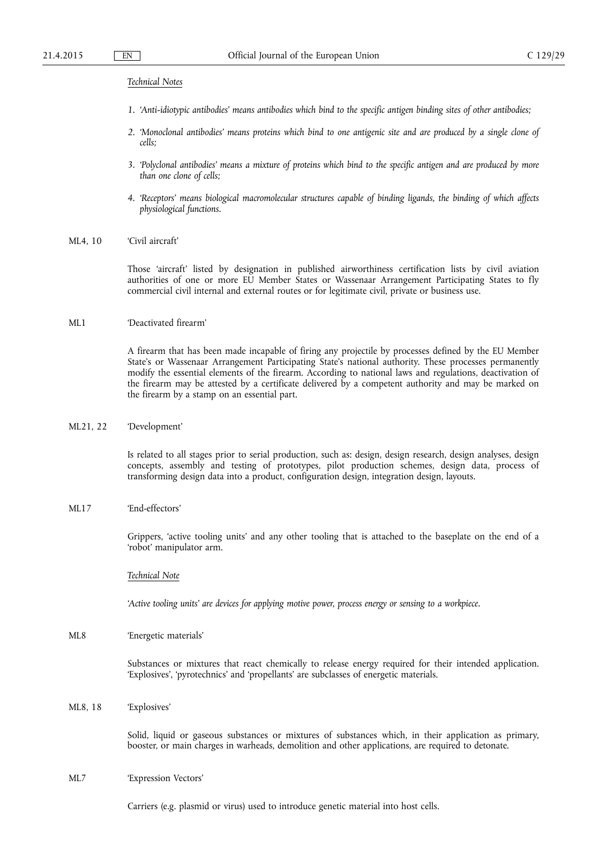#### *Technical Notes*

- *1. 'Anti-idiotypic antibodies' means antibodies which bind to the specific antigen binding sites of other antibodies;*
- *2. 'Monoclonal antibodies' means proteins which bind to one antigenic site and are produced by a single clone of cells;*
- *3. 'Polyclonal antibodies' means a mixture of proteins which bind to the specific antigen and are produced by more than one clone of cells;*
- *4. 'Receptors' means biological macromolecular structures capable of binding ligands, the binding of which affects physiological functions.*

# ML4, 10 'Civil aircraft'

Those 'aircraft' listed by designation in published airworthiness certification lists by civil aviation authorities of one or more EU Member States or Wassenaar Arrangement Participating States to fly commercial civil internal and external routes or for legitimate civil, private or business use.

# ML1 'Deactivated firearm'

A firearm that has been made incapable of firing any projectile by processes defined by the EU Member State's or Wassenaar Arrangement Participating State's national authority. These processes permanently modify the essential elements of the firearm. According to national laws and regulations, deactivation of the firearm may be attested by a certificate delivered by a competent authority and may be marked on the firearm by a stamp on an essential part.

# ML21, 22 'Development'

Is related to all stages prior to serial production, such as: design, design research, design analyses, design concepts, assembly and testing of prototypes, pilot production schemes, design data, process of transforming design data into a product, configuration design, integration design, layouts.

# ML17 'End-effectors'

Grippers, 'active tooling units' and any other tooling that is attached to the baseplate on the end of a 'robot' manipulator arm.

#### *Technical Note*

*'Active tooling units' are devices for applying motive power, process energy or sensing to a workpiece.* 

ML8 'Energetic materials'

Substances or mixtures that react chemically to release energy required for their intended application. 'Explosives', 'pyrotechnics' and 'propellants' are subclasses of energetic materials.

ML8, 18 'Explosives'

Solid, liquid or gaseous substances or mixtures of substances which, in their application as primary, booster, or main charges in warheads, demolition and other applications, are required to detonate.

ML7 'Expression Vectors'

Carriers (e.g. plasmid or virus) used to introduce genetic material into host cells.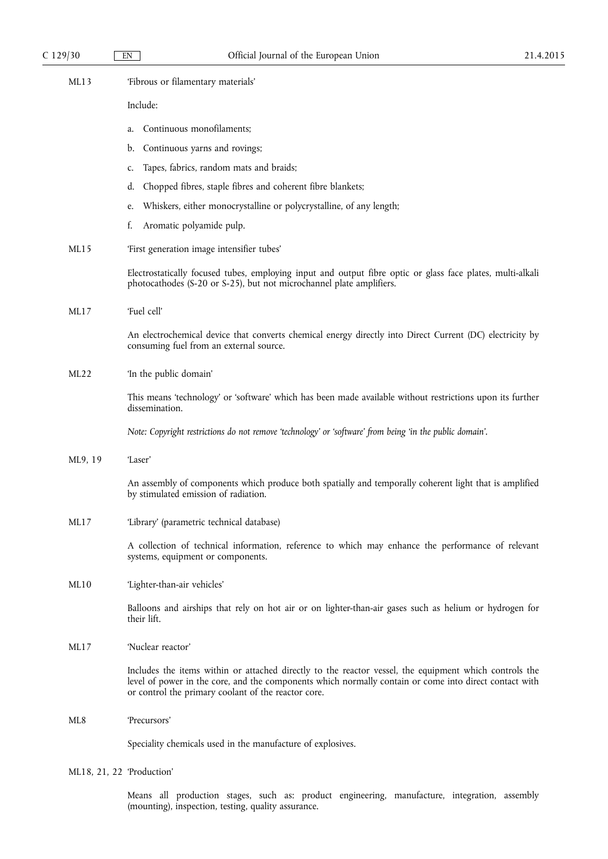| ML13    | 'Fibrous or filamentary materials'                                                                                                                                                                                                                                      |
|---------|-------------------------------------------------------------------------------------------------------------------------------------------------------------------------------------------------------------------------------------------------------------------------|
|         | Include:                                                                                                                                                                                                                                                                |
|         | Continuous monofilaments;<br>a.                                                                                                                                                                                                                                         |
|         | b. Continuous yarns and rovings;                                                                                                                                                                                                                                        |
|         | Tapes, fabrics, random mats and braids;<br>c.                                                                                                                                                                                                                           |
|         | Chopped fibres, staple fibres and coherent fibre blankets;<br>d.                                                                                                                                                                                                        |
|         | Whiskers, either monocrystalline or polycrystalline, of any length;<br>e.                                                                                                                                                                                               |
|         | Aromatic polyamide pulp.<br>f.                                                                                                                                                                                                                                          |
| ML15    | 'First generation image intensifier tubes'                                                                                                                                                                                                                              |
|         | Electrostatically focused tubes, employing input and output fibre optic or glass face plates, multi-alkali<br>photocathodes (S-20 or S-25), but not microchannel plate amplifiers.                                                                                      |
| ML17    | 'Fuel cell'                                                                                                                                                                                                                                                             |
|         | An electrochemical device that converts chemical energy directly into Direct Current (DC) electricity by<br>consuming fuel from an external source.                                                                                                                     |
| ML22    | 'In the public domain'                                                                                                                                                                                                                                                  |
|         | This means 'technology' or 'software' which has been made available without restrictions upon its further<br>dissemination.                                                                                                                                             |
|         | Note: Copyright restrictions do not remove 'technology' or 'software' from being 'in the public domain'.                                                                                                                                                                |
| ML9, 19 | 'Laser'                                                                                                                                                                                                                                                                 |
|         | An assembly of components which produce both spatially and temporally coherent light that is amplified<br>by stimulated emission of radiation.                                                                                                                          |
| ML17    | 'Library' (parametric technical database)                                                                                                                                                                                                                               |
|         | A collection of technical information, reference to which may enhance the performance of relevant<br>systems, equipment or components.                                                                                                                                  |
| ML10    | 'Lighter-than-air vehicles'                                                                                                                                                                                                                                             |
|         | Balloons and airships that rely on hot air or on lighter-than-air gases such as helium or hydrogen for<br>their lift.                                                                                                                                                   |
| ML17    | 'Nuclear reactor'                                                                                                                                                                                                                                                       |
|         | Includes the items within or attached directly to the reactor vessel, the equipment which controls the<br>level of power in the core, and the components which normally contain or come into direct contact with<br>or control the primary coolant of the reactor core. |
| ML8     | 'Precursors'                                                                                                                                                                                                                                                            |
|         | Speciality chemicals used in the manufacture of explosives.                                                                                                                                                                                                             |
|         |                                                                                                                                                                                                                                                                         |

# ML18, 21, 22 'Production'

Means all production stages, such as: product engineering, manufacture, integration, assembly (mounting), inspection, testing, quality assurance.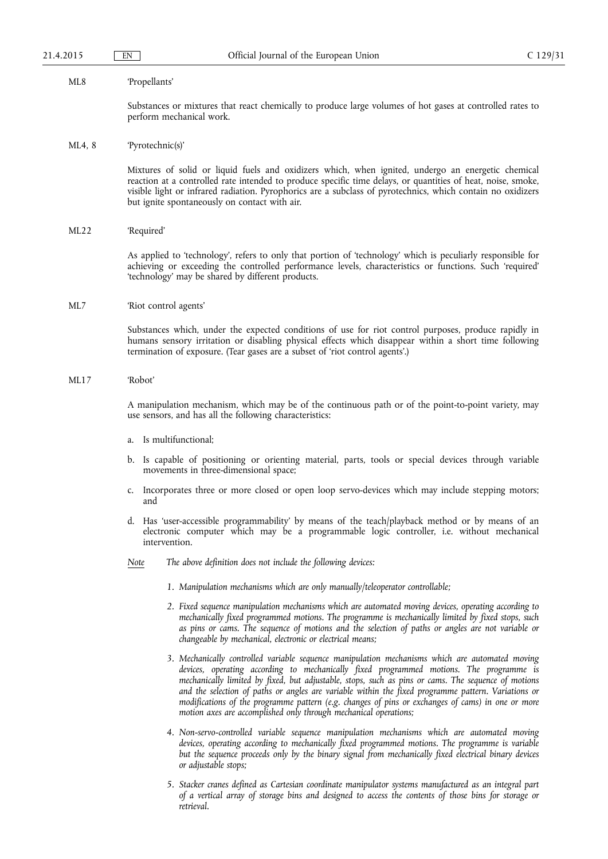#### ML8 'Propellants'

Substances or mixtures that react chemically to produce large volumes of hot gases at controlled rates to perform mechanical work.

#### ML4, 8 'Pyrotechnic(s)'

Mixtures of solid or liquid fuels and oxidizers which, when ignited, undergo an energetic chemical reaction at a controlled rate intended to produce specific time delays, or quantities of heat, noise, smoke, visible light or infrared radiation. Pyrophorics are a subclass of pyrotechnics, which contain no oxidizers but ignite spontaneously on contact with air.

#### ML22 'Required'

As applied to 'technology', refers to only that portion of 'technology' which is peculiarly responsible for achieving or exceeding the controlled performance levels, characteristics or functions. Such 'required' 'technology' may be shared by different products.

#### ML7 'Riot control agents'

Substances which, under the expected conditions of use for riot control purposes, produce rapidly in humans sensory irritation or disabling physical effects which disappear within a short time following termination of exposure. (Tear gases are a subset of 'riot control agents'.)

#### ML17 'Robot'

A manipulation mechanism, which may be of the continuous path or of the point-to-point variety, may use sensors, and has all the following characteristics:

- a. Is multifunctional;
- b. Is capable of positioning or orienting material, parts, tools or special devices through variable movements in three-dimensional space;
- c. Incorporates three or more closed or open loop servo-devices which may include stepping motors; and
- d. Has 'user-accessible programmability' by means of the teach/playback method or by means of an electronic computer which may be a programmable logic controller, i.e. without mechanical intervention.
- *Note The above definition does not include the following devices:* 
	- *1. Manipulation mechanisms which are only manually/teleoperator controllable;*
	- *2. Fixed sequence manipulation mechanisms which are automated moving devices, operating according to mechanically fixed programmed motions. The programme is mechanically limited by fixed stops, such as pins or cams. The sequence of motions and the selection of paths or angles are not variable or changeable by mechanical, electronic or electrical means;*
	- *3. Mechanically controlled variable sequence manipulation mechanisms which are automated moving devices, operating according to mechanically fixed programmed motions. The programme is mechanically limited by fixed, but adjustable, stops, such as pins or cams. The sequence of motions and the selection of paths or angles are variable within the fixed programme pattern. Variations or modifications of the programme pattern (e.g. changes of pins or exchanges of cams) in one or more motion axes are accomplished only through mechanical operations;*
	- *4. Non-servo-controlled variable sequence manipulation mechanisms which are automated moving*  devices, operating according to mechanically fixed programmed motions. The programme is variable *but the sequence proceeds only by the binary signal from mechanically fixed electrical binary devices or adjustable stops;*
	- *5. Stacker cranes defined as Cartesian coordinate manipulator systems manufactured as an integral part of a vertical array of storage bins and designed to access the contents of those bins for storage or retrieval.*